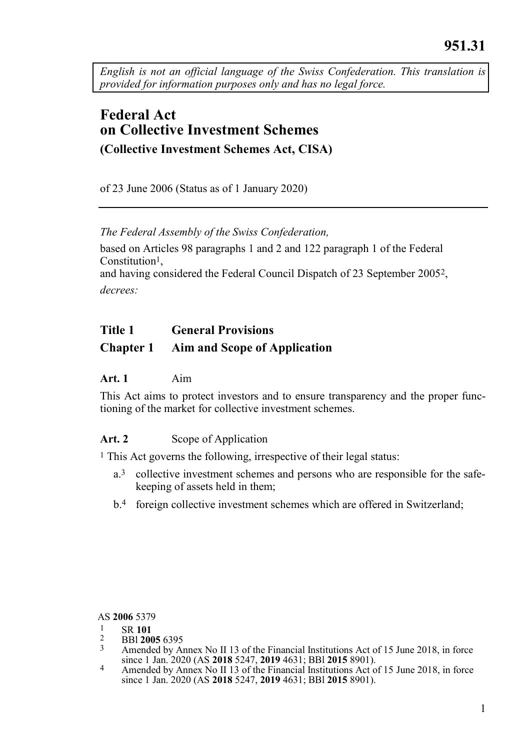<span id="page-0-0"></span>*English is not an official language of the Swiss Confederation. This translation is provided for information purposes only and has no legal force.*

# **Federal Act on Collective Investment Schemes (Collective Investment Schemes Act, CISA)**

of 23 June 2006 (Status as of 1 January 2020)

*The Federal Assembly of the Swiss Confederation,*

based on Articles 98 paragraphs 1 and 2 and 122 paragraph 1 of the Federal Constitution<sup>1</sup>, and having considered the Federal Council Dispatch of 23 September 20052,

*decrees:*

#### **Title 1 General Provisions**

# **Chapter 1 Aim and Scope of Application**

#### **Art. 1** Aim

This Act aims to protect investors and to ensure transparency and the proper functioning of the market for collective investment schemes.

#### Art. 2 Scope of Application

1 This Act governs the following, irrespective of their legal status:

- a.3 collective investment schemes and persons who are responsible for the safekeeping of assets held in them;
- b.4 foreign collective investment schemes which are offered in Switzerland;

AS **2006** 5379

- $\frac{1}{2}$  SR 101
- 2 BBl **2005** 6395
- Amended by Annex No II 13 of the Financial Institutions Act of 15 June 2018, in force since 1 Jan. 2020 (AS **2018** 5247, **2019** 4631; BBl **2015** 8901).
- Amended by Annex No II 13 of the Financial Institutions Act of 15 June 2018, in force since 1 Jan. 2020 (AS **2018** 5247, **2019** 4631; BBl **2015** 8901).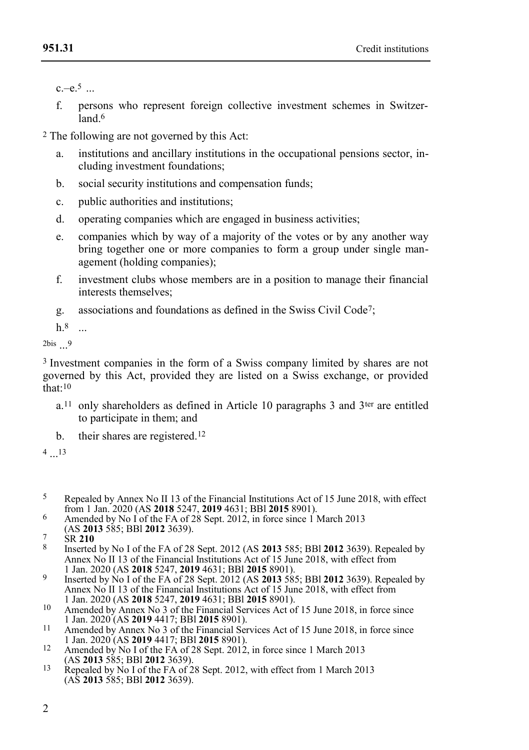$c - e.5$ 

f. persons who represent foreign collective investment schemes in Switzer- $\overline{a}$ land 6

2 The following are not governed by this Act:

- a. institutions and ancillary institutions in the occupational pensions sector, including investment foundations;
- b. social security institutions and compensation funds;
- c. public authorities and institutions;
- d. operating companies which are engaged in business activities;
- e. companies which by way of a majority of the votes or by any another way bring together one or more companies to form a group under single management (holding companies);
- f. investment clubs whose members are in a position to manage their financial interests themselves;
- g. associations and foundations as defined in the Swiss Civil Code7;

h.8 ...

2bis ... 9

3 Investment companies in the form of a Swiss company limited by shares are not governed by this Act, provided they are listed on a Swiss exchange, or provided  $that:10$ 

- $a<sup>11</sup>$  only shareholders as defined in Article 10 paragraphs 3 and 3<sup>ter</sup> are entitled to participate in them; and
- b. their shares are registered.<sup>12</sup>

4 ... 13

- 5 Repealed by Annex No II 13 of the Financial Institutions Act of 15 June 2018, with effect from 1 Jan. 2020 (AS **2018** 5247, **2019** 4631; BBl **2015** 8901).
- <sup>6</sup> Amended by No I of the FA of 28 Sept. 2012, in force since 1 March 2013 (AS **2013** 585; BBl **2012** 3639).

7 SR **210**

- 8 Inserted by No I of the FA of 28 Sept. 2012 (AS **2013** 585; BBl **2012** 3639). Repealed by Annex No II 13 of the Financial Institutions Act of 15 June 2018, with effect from 1 Jan. 2020 (AS **2018** 5247, **2019** 4631; BBl **2015** 8901).
- 9 Inserted by No I of the FA of 28 Sept. 2012 (AS **2013** 585; BBl **2012** 3639). Repealed by Annex No II 13 of the Financial Institutions Act of 15 June 2018, with effect from 1 Jan. 2020 (AS **2018** 5247, **2019** 4631; BBl **2015** 8901).
- 10 Amended by Annex No 3 of the Financial Services Act of 15 June 2018, in force since
- 1 Jan. 2020 (AS **2019** 4417; BBl **2015** 8901). 11 Amended by Annex No 3 of the Financial Services Act of 15 June 2018, in force since 1 Jan. 2020 (AS **2019** 4417; BBl **2015** 8901).
- <sup>12</sup> Amended by No I of the FA of 28 Sept. 2012, in force since 1 March 2013 (AS **2013** 585; BBl **2012** 3639).
- 13 Repealed by No I of the FA of 28 Sept. 2012, with effect from 1 March 2013 (AS **2013** 585; BBl **2012** 3639).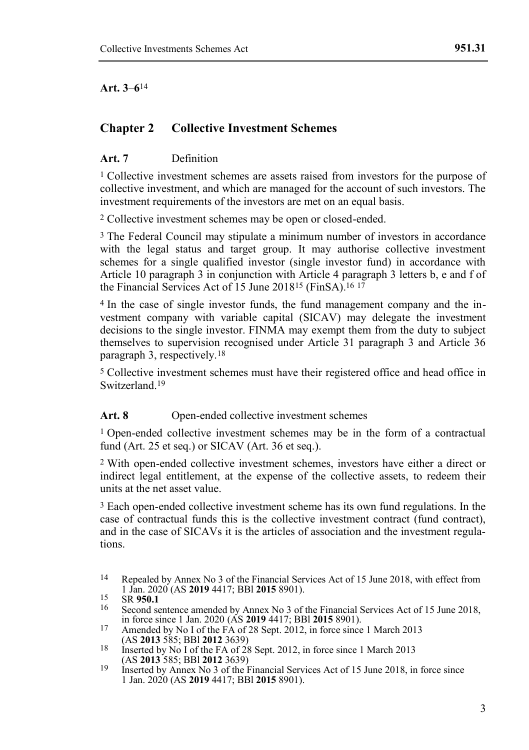**Art. 3**–**6**14

## **Chapter 2 Collective Investment Schemes**

#### **Art. 7** Definition

1 Collective investment schemes are assets raised from investors for the purpose of collective investment, and which are managed for the account of such investors. The investment requirements of the investors are met on an equal basis.

2 Collective investment schemes may be open or closed-ended.

3 The Federal Council may stipulate a minimum number of investors in accordance with the legal status and target group. It may authorise collective investment schemes for a single qualified investor (single investor fund) in accordance with Article 10 paragraph 3 in conjunction with Article 4 paragraph 3 letters b, e and f of the Financial Services Act of 15 June 201815 (FinSA). 16 17

4 In the case of single investor funds, the fund management company and the investment company with variable capital (SICAV) may delegate the investment decisions to the single investor. FINMA may exempt them from the duty to subject themselves to supervision recognised under Article 31 paragraph 3 and Article 36 paragraph 3, respectively.18

5 Collective investment schemes must have their registered office and head office in Switzerland. 19

#### Art. 8 Open-ended collective investment schemes

1 Open-ended collective investment schemes may be in the form of a contractual fund (Art. 25 et seq.) or SICAV (Art. 36 et seq.).

2 With open-ended collective investment schemes, investors have either a direct or indirect legal entitlement, at the expense of the collective assets, to redeem their units at the net asset value.

3 Each open-ended collective investment scheme has its own fund regulations. In the case of contractual funds this is the collective investment contract (fund contract), and in the case of SICAVs it is the articles of association and the investment regulations.

<sup>14</sup> Repealed by Annex No 3 of the Financial Services Act of 15 June 2018, with effect from 1 Jan. 2020 (AS **2019** 4417; BBl **2015** 8901).

<sup>15</sup> SR **950.1**

Second sentence amended by Annex No 3 of the Financial Services Act of 15 June 2018, in force since 1 Jan. 2020 (AS **2019** 4417; BBl **2015** 8901).

<sup>17</sup> Amended by No I of the FA of 28 Sept. 2012, in force since 1 March 2013 (AS **2013** 585; BBl **2012** 3639)

<sup>18</sup> Inserted by No I of the FA of 28 Sept. 2012, in force since 1 March 2013 (AS **2013** 585; BBl **2012** 3639)

<sup>19</sup> Inserted by Annex No 3 of the Financial Services Act of 15 June 2018, in force since 1 Jan. 2020 (AS **2019** 4417; BBl **2015** 8901).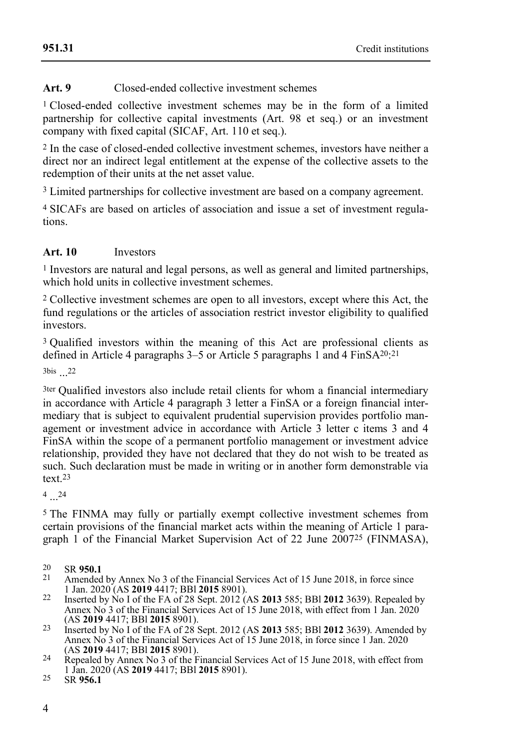## **Art. 9** Closed-ended collective investment schemes

<sup>1</sup> Closed-ended collective investment schemes may be in the form of a limited partnership for collective capital investments (Art. 98 et seq.) or an investment company with fixed capital (SICAF, Art. 110 et seq.).

2 In the case of closed-ended collective investment schemes, investors have neither a direct nor an indirect legal entitlement at the expense of the collective assets to the redemption of their units at the net asset value.

3 Limited partnerships for collective investment are based on a company agreement.

4 SICAFs are based on articles of association and issue a set of investment regulations.

#### **Art. 10** Investors

<sup>1</sup> Investors are natural and legal persons, as well as general and limited partnerships, which hold units in collective investment schemes.

2 Collective investment schemes are open to all investors, except where this Act, the fund regulations or the articles of association restrict investor eligibility to qualified investors.

3 Qualified investors within the meaning of this Act are professional clients as defined in Article 4 paragraphs 3–5 or Article 5 paragraphs 1 and 4 FinSA<sup>20</sup>:<sup>21</sup>

3bis ... 22

3ter Qualified investors also include retail clients for whom a financial intermediary in accordance with Article 4 paragraph 3 letter a FinSA or a foreign financial intermediary that is subject to equivalent prudential supervision provides portfolio management or investment advice in accordance with Article  $\hat{3}$  letter c items 3 and 4 FinSA within the scope of a permanent portfolio management or investment advice relationship, provided they have not declared that they do not wish to be treated as such. Such declaration must be made in writing or in another form demonstrable via text<sub>23</sub>

 $4...^{24}$ 

5 The FINMA may fully or partially exempt collective investment schemes from certain provisions of the financial market acts within the meaning of Article 1 paragraph 1 of the Financial Market Supervision Act of 22 June 200725 (FINMASA),

- Amended by Annex No 3 of the Financial Services Act of 15 June 2018, in force since 1 Jan. 2020 (AS **2019** 4417; BBl **2015** 8901).
- 22 Inserted by No I of the FA of 28 Sept. 2012 (AS **2013** 585; BBl **2012** 3639). Repealed by Annex No 3 of the Financial Services Act of 15 June 2018, with effect from 1 Jan. 2020 (AS **2019** 4417; BBl **2015** 8901).
- 23 Inserted by No I of the FA of 28 Sept. 2012 (AS **2013** 585; BBl **2012** 3639). Amended by Annex No 3 of the Financial Services Act of 15 June 2018, in force since 1 Jan. 2020 (AS **2019** 4417; BBl **2015** 8901).
- <sup>24</sup> Repealed by Annex No 3 of the Financial Services Act of 15 June 2018, with effect from 1 Jan. 2020 (AS **2019** 4417; BBl **2015** 8901).

<sup>20</sup> SR **950.1**

<sup>25</sup> SR **956.1**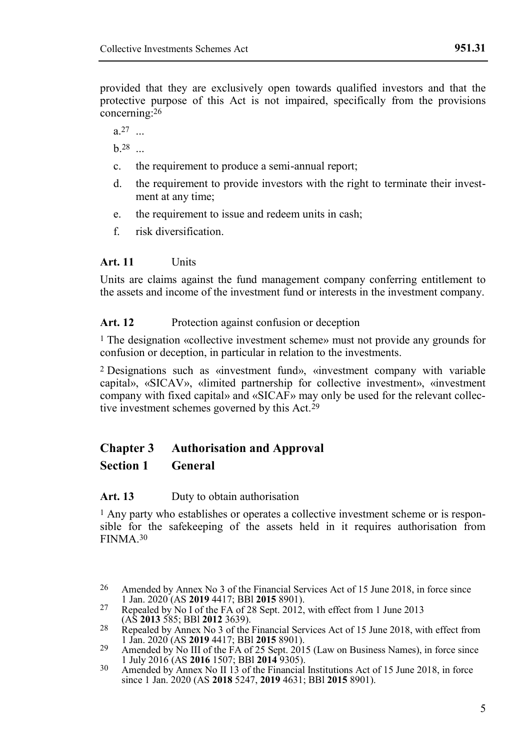provided that they are exclusively open towards qualified investors and that the protective purpose of this Act is not impaired, specifically from the provisions concerning:26

 $a^{27}$  ...

**h** 28

- c. the requirement to produce a semi-annual report;
- d. the requirement to provide investors with the right to terminate their investment at any time;
- e. the requirement to issue and redeem units in cash;
- f. risk diversification.

#### **Art. 11** Units

Units are claims against the fund management company conferring entitlement to the assets and income of the investment fund or interests in the investment company.

#### Art. 12 Protection against confusion or deception

1 The designation «collective investment scheme» must not provide any grounds for confusion or deception, in particular in relation to the investments.

2 Designations such as «investment fund», «investment company with variable capital», «SICAV», «limited partnership for collective investment», «investment company with fixed capital» and «SICAF» may only be used for the relevant collective investment schemes governed by this Act.<sup>29</sup>

# **Chapter 3 Authorisation and Approval**

#### **Section 1 General**

#### **Art. 13** Duty to obtain authorisation

1 Any party who establishes or operates a collective investment scheme or is responsible for the safekeeping of the assets held in it requires authorisation from FINMA.30

<sup>26</sup> Amended by Annex No 3 of the Financial Services Act of 15 June 2018, in force since 1 Jan. 2020 (AS **2019** 4417; BBl **2015** 8901).

<sup>&</sup>lt;sup>27</sup> Repealed by No I of the FA of 28 Sept. 2012, with effect from 1 June 2013 (AS **2013** 585; BBl **2012** 3639).

<sup>28</sup> Repealed by Annex No 3 of the Financial Services Act of 15 June 2018, with effect from 1 Jan. 2020 (AS **2019** 4417; BBl **2015** 8901). 29 Amended by No III of the FA of 25 Sept. 2015 (Law on Business Names), in force since

<sup>1</sup> July 2016 (AS **2016** 1507; BBl **2014** 9305).

<sup>30</sup> Amended by Annex No II 13 of the Financial Institutions Act of 15 June 2018, in force since 1 Jan. 2020 (AS **2018** 5247, **2019** 4631; BBl **2015** 8901).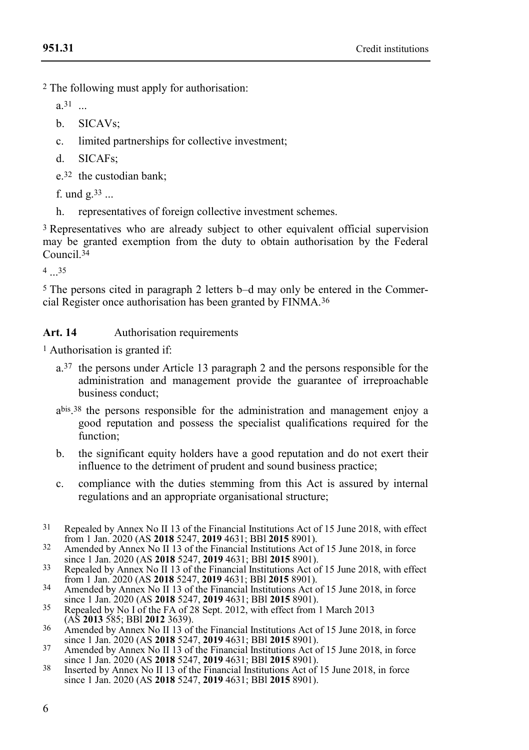2 The following must apply for authorisation:

a.31 ...

- b. SICAVs:
- c. limited partnerships for collective investment;
- d. SICAFs;

e.32 the custodian bank;

f. und  $g^{33}$  ...

h. representatives of foreign collective investment schemes.

3 Representatives who are already subject to other equivalent official supervision may be granted exemption from the duty to obtain authorisation by the Federal Council.34

4 ... 35

5 The persons cited in paragraph 2 letters b–d may only be entered in the Commercial Register once authorisation has been granted by FINMA.36

#### Art. 14 Authorisation requirements

1 Authorisation is granted if:

- a.37 the persons under Article 13 paragraph 2 and the persons responsible for the administration and management provide the guarantee of irreproachable business conduct;
- a bis . 38 the persons responsible for the administration and management enjoy a good reputation and possess the specialist qualifications required for the function<sup>:</sup>
- b. the significant equity holders have a good reputation and do not exert their influence to the detriment of prudent and sound business practice;
- c. compliance with the duties stemming from this Act is assured by internal regulations and an appropriate organisational structure;
- 31 Repealed by Annex No II 13 of the Financial Institutions Act of 15 June 2018, with effect from 1 Jan. 2020 (AS **2018** 5247, **2019** 4631; BBl **2015** 8901).
- <sup>32</sup> Amended by Annex No II 13 of the Financial Institutions Act of 15 June 2018, in force since 1 Jan. 2020 (AS **2018** 5247, **2019** 4631; BBl **2015** 8901).
- <sup>33</sup> Repealed by Annex No II 13 of the Financial Institutions Act of 15 June 2018, with effect from 1 Jan. 2020 (AS **2018** 5247, **2019** 4631; BBl **2015** 8901). 34 Amended by Annex No II 13 of the Financial Institutions Act of 15 June 2018, in force
- since 1 Jan. 2020 (AS **2018** 5247, **2019** 4631; BBl **2015** 8901).
- <sup>35</sup> Repealed by No I of the FA of 28 Sept. 2012, with effect from 1 March 2013 (AS **2013** 585; BBl **2012** 3639).
- 36 Amended by Annex No II 13 of the Financial Institutions Act of 15 June 2018, in force since 1 Jan. 2020 (AS **2018** 5247, **2019** 4631; BBl **2015** 8901). 37 Amended by Annex No II 13 of the Financial Institutions Act of 15 June 2018, in force
- since 1 Jan. 2020 (AS **2018** 5247, **2019** 4631; BBl **2015** 8901).
- 38 Inserted by Annex No II 13 of the Financial Institutions Act of 15 June 2018, in force since 1 Jan. 2020 (AS **2018** 5247, **2019** 4631; BBl **2015** 8901).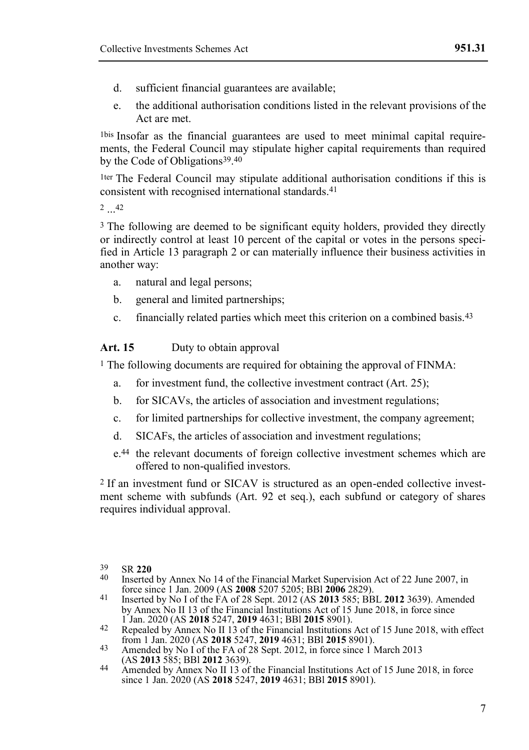- d. sufficient financial guarantees are available;
- e. the additional authorisation conditions listed in the relevant provisions of the Act are met.

1bis Insofar as the financial guarantees are used to meet minimal capital requirements, the Federal Council may stipulate higher capital requirements than required by the Code of Obligations39. 40

1ter The Federal Council may stipulate additional authorisation conditions if this is consistent with recognised international standards.41

 $2...42$ 

<sup>3</sup> The following are deemed to be significant equity holders, provided they directly or indirectly control at least 10 percent of the capital or votes in the persons specified in Article 13 paragraph 2 or can materially influence their business activities in another way:

- a. natural and legal persons;
- b. general and limited partnerships;
- c. financially related parties which meet this criterion on a combined basis.43

#### Art. 15 Duty to obtain approval

1 The following documents are required for obtaining the approval of FINMA:

- a. for investment fund, the collective investment contract (Art. 25);
- b. for SICAVs, the articles of association and investment regulations;
- c. for limited partnerships for collective investment, the company agreement;
- d. SICAFs, the articles of association and investment regulations;
- e.44 the relevant documents of foreign collective investment schemes which are offered to non-qualified investors.

2 If an investment fund or SICAV is structured as an open-ended collective investment scheme with subfunds (Art. 92 et seq.), each subfund or category of shares requires individual approval.

- 39 SR **220**
- Inserted by Annex No 14 of the Financial Market Supervision Act of 22 June 2007, in
- force since 1 Jan. 2009 (AS **2008** 5207 5205; BBl **2006** 2829). 41 Inserted by No I of the FA of 28 Sept. 2012 (AS **2013** 585; BBL **2012** 3639). Amended by Annex No II 13 of the Financial Institutions Act of 15 June 2018, in force since
- 1 Jan. 2020 (AS **2018** 5247, **2019** 4631; BBl **2015** 8901). 42 Repealed by Annex No II 13 of the Financial Institutions Act of 15 June 2018, with effect from 1 Jan. 2020 (AS **2018** 5247, **2019** 4631; BBl **2015** 8901).
- 43 Amended by No I of the FA of 28 Sept. 2012, in force since 1 March 2013 (AS **2013** 585; BBl **2012** 3639).
- 44 Amended by Annex No II 13 of the Financial Institutions Act of 15 June 2018, in force since 1 Jan. 2020 (AS **2018** 5247, **2019** 4631; BBl **2015** 8901).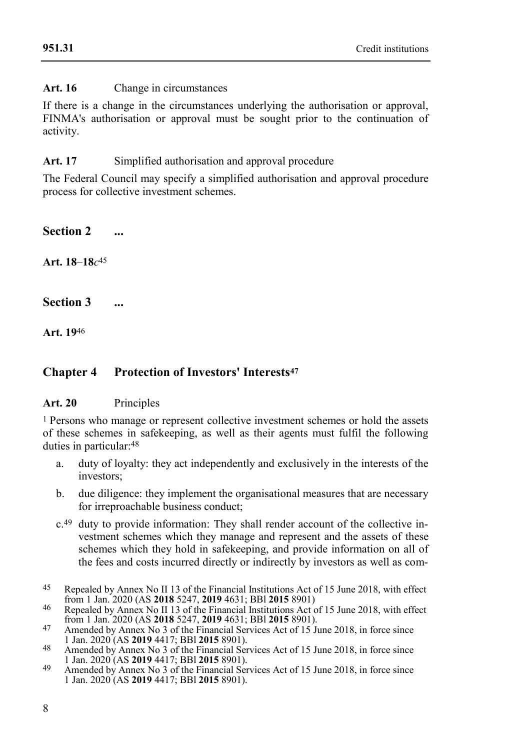# **Art. 16** Change in circumstances

If there is a change in the circumstances underlying the authorisation or approval, FINMA's authorisation or approval must be sought prior to the continuation of activity.

#### Art. 17 Simplified authorisation and approval procedure

The Federal Council may specify a simplified authorisation and approval procedure process for collective investment schemes.

**Section 2 ...**

**Art. 18**–**18***c* 45

**Section 3 ...**

**Art. 19**46

# **Chapter 4 Protection of Investors' Interests<sup>47</sup>**

#### **Art. 20** Principles

1 Persons who manage or represent collective investment schemes or hold the assets of these schemes in safekeeping, as well as their agents must fulfil the following duties in particular:48

- a. duty of loyalty: they act independently and exclusively in the interests of the investors;
- b. due diligence: they implement the organisational measures that are necessary for irreproachable business conduct;
- c.49 duty to provide information: They shall render account of the collective investment schemes which they manage and represent and the assets of these schemes which they hold in safekeeping, and provide information on all of the fees and costs incurred directly or indirectly by investors as well as com-
- 45 Repealed by Annex No II 13 of the Financial Institutions Act of 15 June 2018, with effect from 1 Jan. 2020 (AS **2018** 5247, **2019** 4631; BBl **2015** 8901)

46 Repealed by Annex No II 13 of the Financial Institutions Act of 15 June 2018, with effect from 1 Jan. 2020 (AS **2018** 5247, **2019** 4631; BBl **2015** 8901). 47 Amended by Annex No 3 of the Financial Services Act of 15 June 2018, in force since

- 1 Jan. 2020 (AS **2019** 4417; BBl **2015** 8901).
- 48 Amended by Annex No 3 of the Financial Services Act of 15 June 2018, in force since 1 Jan. 2020 (AS **2019** 4417; BBl **2015** 8901).
- Amended by Annex No. 3 of the Financial Services Act of 15 June 2018, in force since 1 Jan. 2020 (AS **2019** 4417; BBl **2015** 8901).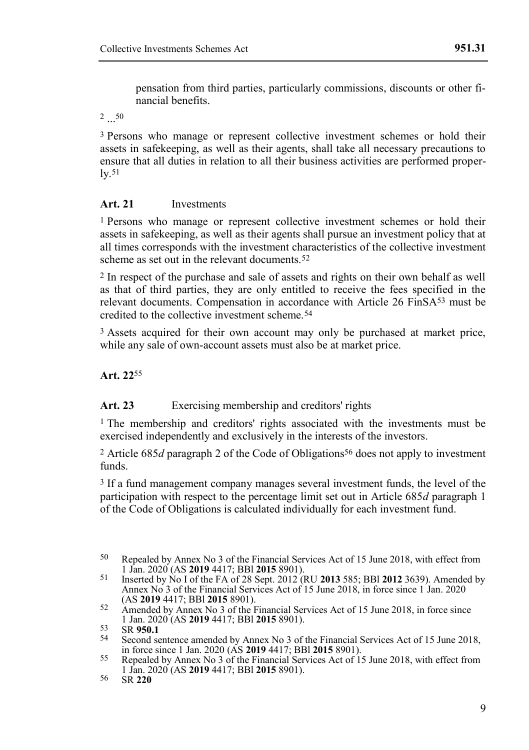pensation from third parties, particularly commissions, discounts or other financial benefits.

 $2...50$ 

3 Persons who manage or represent collective investment schemes or hold their assets in safekeeping, as well as their agents, shall take all necessary precautions to ensure that all duties in relation to all their business activities are performed proper- $1v$ .51

#### **Art. 21** Investments

1 Persons who manage or represent collective investment schemes or hold their assets in safekeeping, as well as their agents shall pursue an investment policy that at all times corresponds with the investment characteristics of the collective investment scheme as set out in the relevant documents.<sup>52</sup>

2 In respect of the purchase and sale of assets and rights on their own behalf as well as that of third parties, they are only entitled to receive the fees specified in the relevant documents. Compensation in accordance with Article 26 FinSA53 must be credited to the collective investment scheme.54

3 Assets acquired for their own account may only be purchased at market price, while any sale of own-account assets must also be at market price.

**Art. 22**55

**Art. 23** Exercising membership and creditors' rights

1 The membership and creditors' rights associated with the investments must be exercised independently and exclusively in the interests of the investors.

2 Article 685*d* paragraph 2 of the Code of Obligations56 does not apply to investment funds.

3 If a fund management company manages several investment funds, the level of the participation with respect to the percentage limit set out in Article 685*d* paragraph 1 of the Code of Obligations is calculated individually for each investment fund.

<sup>50</sup> Repealed by Annex No 3 of the Financial Services Act of 15 June 2018, with effect from 1 Jan. 2020 (AS **2019** 4417; BBl **2015** 8901).

<sup>51</sup> Inserted by No I of the FA of 28 Sept. 2012 (RU **2013** 585; BBl **2012** 3639). Amended by Annex No 3 of the Financial Services Act of 15 June 2018, in force since 1 Jan. 2020 (AS **2019** 4417; BBl **2015** 8901).

<sup>52</sup> Amended by Annex No 3 of the Financial Services Act of 15 June 2018, in force since 1 Jan. 2020 (AS **2019** 4417; BBl **2015** 8901).

<sup>53</sup> SR **950.1**

Second sentence amended by Annex No 3 of the Financial Services Act of 15 June 2018,

in force since 1 Jan. 2020 (AS **2019** 4417; BBl **2015** 8901). 55 Repealed by Annex No 3 of the Financial Services Act of 15 June 2018, with effect from 1 Jan. 2020 (AS **2019** 4417; BBl **2015** 8901).

<sup>56</sup> SR **220**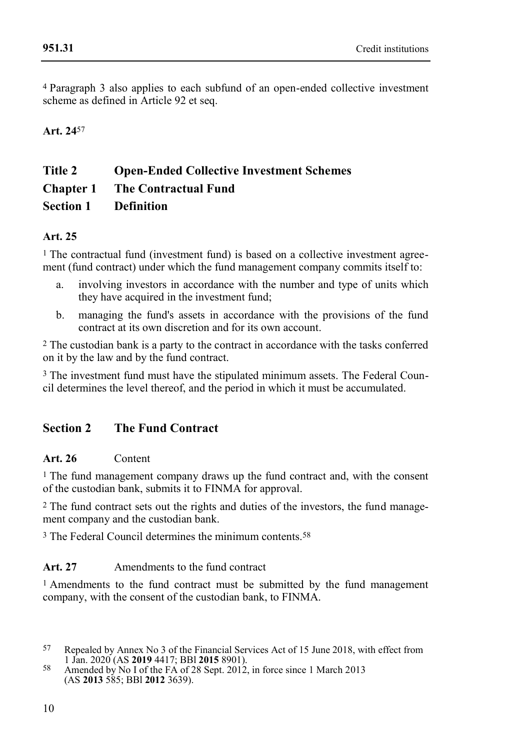4 Paragraph 3 also applies to each subfund of an open-ended collective investment scheme as defined in Article 92 et seq.

# **Art. 24**57

# **Title 2 Open-Ended Collective Investment Schemes Chapter 1 The Contractual Fund Section 1 Definition**

#### **Art. 25**

 $<sup>1</sup>$  The contractual fund (investment fund) is based on a collective investment agree-</sup> ment (fund contract) under which the fund management company commits itself to:

- a. involving investors in accordance with the number and type of units which they have acquired in the investment fund;
- b. managing the fund's assets in accordance with the provisions of the fund contract at its own discretion and for its own account.

2 The custodian bank is a party to the contract in accordance with the tasks conferred on it by the law and by the fund contract.

<sup>3</sup> The investment fund must have the stipulated minimum assets. The Federal Council determines the level thereof, and the period in which it must be accumulated.

# **Section 2 The Fund Contract**

#### **Art. 26** Content

1 The fund management company draws up the fund contract and, with the consent of the custodian bank, submits it to FINMA for approval.

2 The fund contract sets out the rights and duties of the investors, the fund management company and the custodian bank.

3 The Federal Council determines the minimum contents.58

#### Art. 27 Amendments to the fund contract

1 Amendments to the fund contract must be submitted by the fund management company, with the consent of the custodian bank, to FINMA.

<sup>57</sup> Repealed by Annex No 3 of the Financial Services Act of 15 June 2018, with effect from 1 Jan. 2020 (AS **2019** 4417; BBl **2015** 8901).

<sup>58</sup> Amended by No I of the FA of 28 Sept. 2012, in force since 1 March 2013 (AS **2013** 585; BBl **2012** 3639).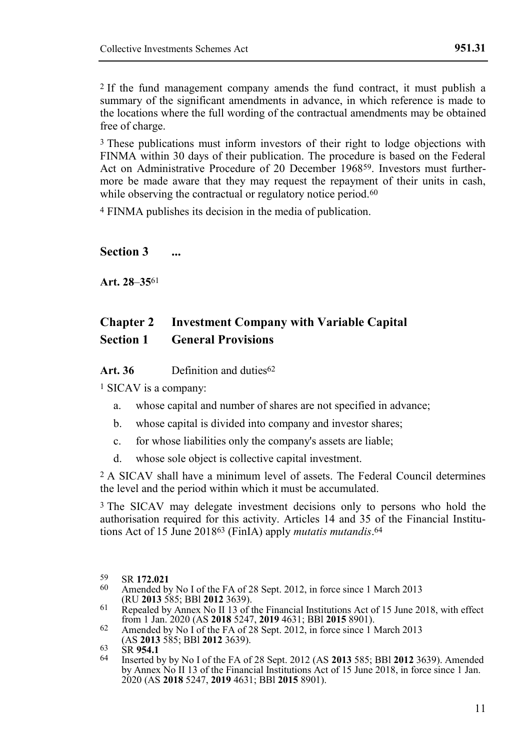2 If the fund management company amends the fund contract, it must publish a summary of the significant amendments in advance, in which reference is made to the locations where the full wording of the contractual amendments may be obtained free of charge.

<sup>3</sup> These publications must inform investors of their right to lodge objections with FINMA within 30 days of their publication. The procedure is based on the Federal Act on Administrative Procedure of 20 December 196859. Investors must furthermore be made aware that they may request the repayment of their units in cash, while observing the contractual or regulatory notice period.<sup>60</sup>

4 FINMA publishes its decision in the media of publication.

#### **Section 3 ...**

**Art. 28**–**35**61

# **Chapter 2 Investment Company with Variable Capital Section 1 General Provisions**

**Art. 36** Definition and duties62

1 SICAV is a company:

- a. whose capital and number of shares are not specified in advance;
- b. whose capital is divided into company and investor shares;
- c. for whose liabilities only the company's assets are liable;
- d. whose sole object is collective capital investment.

2 A SICAV shall have a minimum level of assets. The Federal Council determines the level and the period within which it must be accumulated.

3 The SICAV may delegate investment decisions only to persons who hold the authorisation required for this activity. Articles 14 and 35 of the Financial Institutions Act of 15 June 201863 (FinIA) apply *mutatis mutandis*. 64

<sup>59</sup> SR **172.021**

Amended by No I of the FA of 28 Sept. 2012, in force since 1 March 2013 (RU **2013** 585; BBl **2012** 3639).

<sup>61</sup> Repealed by Annex No II 13 of the Financial Institutions Act of 15 June 2018, with effect from 1 Jan. 2020 (AS **2018** 5247, **2019** 4631; BBl **2015** 8901). 62 Amended by No I of the FA of 28 Sept. 2012, in force since 1 March 2013

<sup>(</sup>AS **2013** 585; BBl **2012** 3639).

<sup>63</sup> SR **954.1**

<sup>64</sup> Inserted by by No I of the FA of 28 Sept. 2012 (AS **2013** 585; BBl **2012** 3639). Amended by Annex No II 13 of the Financial Institutions Act of 15 June 2018, in force since 1 Jan. 2020 (AS **2018** 5247, **2019** 4631; BBl **2015** 8901).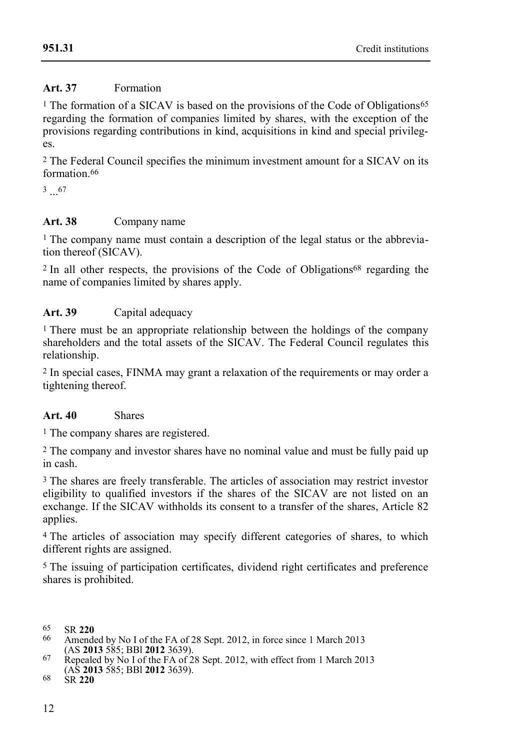# **Art. 37** Formation

<sup>1</sup> The formation of a SICAV is based on the provisions of the Code of Obligations<sup>65</sup> regarding the formation of companies limited by shares, with the exception of the provisions regarding contributions in kind, acquisitions in kind and special privileges.

2 The Federal Council specifies the minimum investment amount for a SICAV on its formation 66

 $3 \dots 67$ 

# **Art. 38** Company name

<sup>1</sup> The company name must contain a description of the legal status or the abbreviation thereof (SICAV).

 $2$  In all other respects, the provisions of the Code of Obligations<sup>68</sup> regarding the name of companies limited by shares apply.

#### **Art. 39** Capital adequacy

1 There must be an appropriate relationship between the holdings of the company shareholders and the total assets of the SICAV. The Federal Council regulates this relationship.

2 In special cases, FINMA may grant a relaxation of the requirements or may order a tightening thereof.

#### **Art. 40** Shares

1 The company shares are registered.

2 The company and investor shares have no nominal value and must be fully paid up in cash.

3 The shares are freely transferable. The articles of association may restrict investor eligibility to qualified investors if the shares of the SICAV are not listed on an exchange. If the SICAV withholds its consent to a transfer of the shares, Article 82 applies.

4 The articles of association may specify different categories of shares, to which different rights are assigned.

5 The issuing of participation certificates, dividend right certificates and preference shares is prohibited.

<sup>65</sup> SR **220**

Amended by No I of the FA of 28 Sept. 2012, in force since 1 March 2013 (AS **2013** 585; BBl **2012** 3639).

<sup>67</sup> Repealed by No I of the FA of 28 Sept. 2012, with effect from 1 March 2013 (AS **2013** 585; BBl **2012** 3639).

<sup>68</sup> SR **220**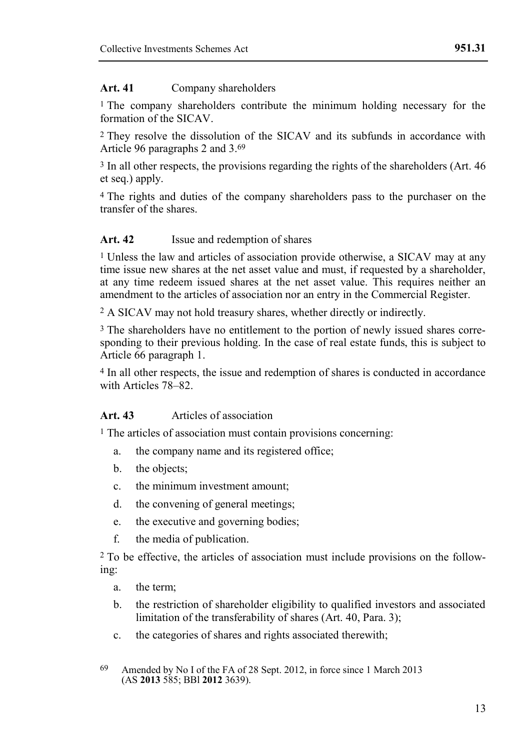#### **Art. 41** Company shareholders

<sup>1</sup> The company shareholders contribute the minimum holding necessary for the formation of the SICAV

2 They resolve the dissolution of the SICAV and its subfunds in accordance with Article 96 paragraphs 2 and 3.69

3 In all other respects, the provisions regarding the rights of the shareholders (Art. 46 et seq.) apply.

4 The rights and duties of the company shareholders pass to the purchaser on the transfer of the shares.

#### Art. 42 **Issue and redemption of shares**

1 Unless the law and articles of association provide otherwise, a SICAV may at any time issue new shares at the net asset value and must, if requested by a shareholder. at any time redeem issued shares at the net asset value. This requires neither an amendment to the articles of association nor an entry in the Commercial Register.

2 A SICAV may not hold treasury shares, whether directly or indirectly.

<sup>3</sup> The shareholders have no entitlement to the portion of newly issued shares corresponding to their previous holding. In the case of real estate funds, this is subject to Article 66 paragraph 1.

4 In all other respects, the issue and redemption of shares is conducted in accordance with Articles 78–82.

#### **Art. 43** Articles of association

1 The articles of association must contain provisions concerning:

- a. the company name and its registered office;
- b. the objects:
- c. the minimum investment amount;
- d. the convening of general meetings;
- e. the executive and governing bodies;
- f. the media of publication.

2 To be effective, the articles of association must include provisions on the following:

- a. the term;
- b. the restriction of shareholder eligibility to qualified investors and associated limitation of the transferability of shares (Art. 40, Para. 3);
- c. the categories of shares and rights associated therewith;

<sup>69</sup> Amended by No I of the FA of 28 Sept. 2012, in force since 1 March 2013 (AS **2013** 585; BBl **2012** 3639).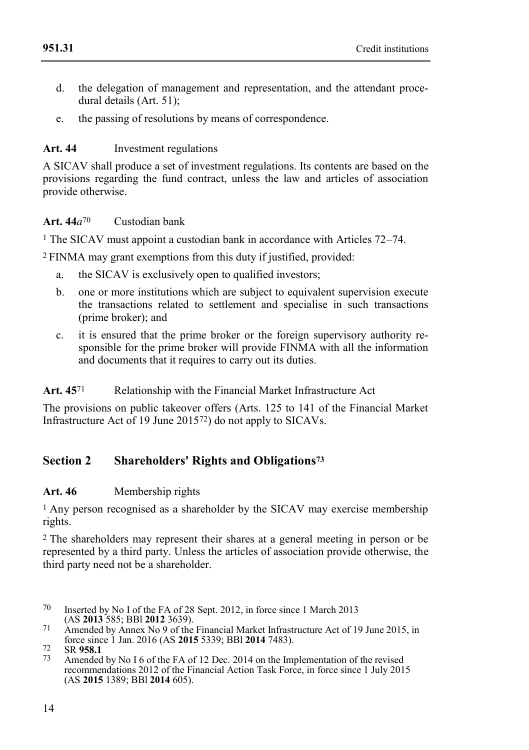- d. the delegation of management and representation, and the attendant procedural details (Art. 51);
- e. the passing of resolutions by means of correspondence.

#### **Art. 44** Investment regulations

A SICAV shall produce a set of investment regulations. Its contents are based on the provisions regarding the fund contract, unless the law and articles of association provide otherwise.

#### **Art. 44***a*70 Custodian bank

1 The SICAV must appoint a custodian bank in accordance with Articles 72–74.

2 FINMA may grant exemptions from this duty if justified, provided:

- a. the SICAV is exclusively open to qualified investors;
- b. one or more institutions which are subject to equivalent supervision execute the transactions related to settlement and specialise in such transactions (prime broker); and
- c. it is ensured that the prime broker or the foreign supervisory authority responsible for the prime broker will provide FINMA with all the information and documents that it requires to carry out its duties.

Art. 45<sup>71</sup> Relationship with the Financial Market Infrastructure Act

The provisions on public takeover offers (Arts. 125 to 141 of the Financial Market Infrastructure Act of 19 June 201572) do not apply to SICAVs.

# **Section 2 Shareholders' Rights and Obligations<sup>73</sup>**

#### **Art. 46** Membership rights

1 Any person recognised as a shareholder by the SICAV may exercise membership rights.

2 The shareholders may represent their shares at a general meeting in person or be represented by a third party. Unless the articles of association provide otherwise, the third party need not be a shareholder.

- 70 Inserted by No I of the FA of 28 Sept. 2012, in force since 1 March 2013 (AS **2013** 585; BBl **2012** 3639).
- 71 Amended by Annex No 9 of the Financial Market Infrastructure Act of 19 June 2015, in force since 1 Jan. 2016 (AS **2015** 5339; BBl **2014** 7483).

Amended by No I 6 of the FA of 12 Dec.  $2014$  on the Implementation of the revised recommendations 2012 of the Financial Action Task Force, in force since 1 July 2015 (AS **2015** 1389; BBl **2014** 605).

<sup>72</sup> SR **958.1**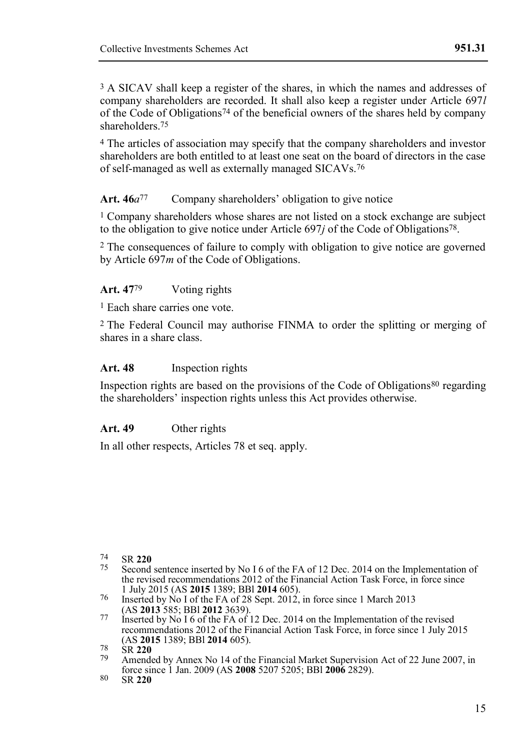3 A SICAV shall keep a register of the shares, in which the names and addresses of company shareholders are recorded. It shall also keep a register under Article 697*l* of the Code of Obligations74 of the beneficial owners of the shares held by company shareholders.75

4 The articles of association may specify that the company shareholders and investor shareholders are both entitled to at least one seat on the board of directors in the case of self-managed as well as externally managed SICAVs.76

#### Art. 46*a*<sup>77</sup> Company shareholders' obligation to give notice

1 Company shareholders whose shares are not listed on a stock exchange are subject to the obligation to give notice under Article 697*j* of the Code of Obligations78.

2 The consequences of failure to comply with obligation to give notice are governed by Article 697*m* of the Code of Obligations.

#### **Art. 47**79 Voting rights

1 Each share carries one vote.

2 The Federal Council may authorise FINMA to order the splitting or merging of shares in a share class.

#### **Art. 48** Inspection rights

Inspection rights are based on the provisions of the Code of Obligations80 regarding the shareholders' inspection rights unless this Act provides otherwise.

#### **Art. 49** Other rights

In all other respects, Articles 78 et seq. apply.

<sup>74</sup> SR **220**

Second sentence inserted by No I 6 of the FA of 12 Dec. 2014 on the Implementation of the revised recommendations 2012 of the Financial Action Task Force, in force since 1 July 2015 (AS **2015** 1389; BBl **2014** 605).

<sup>76</sup> Inserted by No I of the FA of 28 Sept. 2012, in force since 1 March 2013 (AS **2013** 585; BBl **2012** 3639).

<sup>77</sup> Inserted by No I 6 of the FA of 12 Dec. 2014 on the Implementation of the revised recommendations 2012 of the Financial Action Task Force, in force since 1 July 2015 (AS **2015** 1389; BBl **2014** 605).

<sup>78</sup> SR **220**

Amended by Annex No 14 of the Financial Market Supervision Act of 22 June 2007, in force since 1 Jan. 2009 (AS **2008** 5207 5205; BBl **2006** 2829).

<sup>80</sup> SR **220**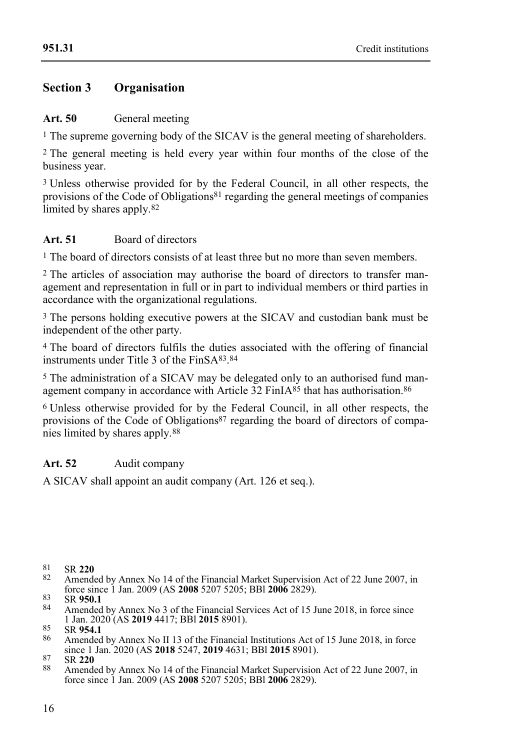**[951.31](#page-0-0)**

# **Section 3 Organisation**

#### Art. 50 General meeting

<sup>1</sup> The supreme governing body of the SICAV is the general meeting of shareholders.

2 The general meeting is held every year within four months of the close of the business year.

3 Unless otherwise provided for by the Federal Council, in all other respects, the provisions of the Code of Obligations<sup>81</sup> regarding the general meetings of companies limited by shares apply.<sup>82</sup>

#### **Art. 51** Board of directors

1 The board of directors consists of at least three but no more than seven members.

2 The articles of association may authorise the board of directors to transfer management and representation in full or in part to individual members or third parties in accordance with the organizational regulations.

3 The persons holding executive powers at the SICAV and custodian bank must be independent of the other party.

4 The board of directors fulfils the duties associated with the offering of financial instruments under Title 3 of the FinSA83. 84

5 The administration of a SICAV may be delegated only to an authorised fund management company in accordance with Article  $\overline{32}$  FinIA<sup>85</sup> that has authorisation.<sup>86</sup>

6 Unless otherwise provided for by the Federal Council, in all other respects, the provisions of the Code of Obligations<sup>87</sup> regarding the board of directors of companies limited by shares apply.88

#### Art. 52 Audit company

A SICAV shall appoint an audit company (Art. 126 et seq.).

82 Amended by Annex No 14 of the Financial Market Supervision Act of 22 June 2007, in force since 1 Jan. 2009 (AS **2008** 5207 5205; BBl **2006** 2829).

87 SR **220**

<sup>81</sup> SR **220**

<sup>83</sup> SR **950.1**

Amended by Annex No 3 of the Financial Services Act of 15 June 2018, in force since 1 Jan. 2020 (AS **2019** 4417; BBl **2015** 8901).

<sup>85</sup> SR **954.1**

<sup>86</sup> Amended by Annex No II 13 of the Financial Institutions Act of 15 June 2018, in force since 1 Jan. 2020 (AS **2018** 5247, **2019** 4631; BBl **2015** 8901).

<sup>88</sup> Amended by Annex No 14 of the Financial Market Supervision Act of 22 June 2007, in force since 1 Jan. 2009 (AS **2008** 5207 5205; BBl **2006** 2829).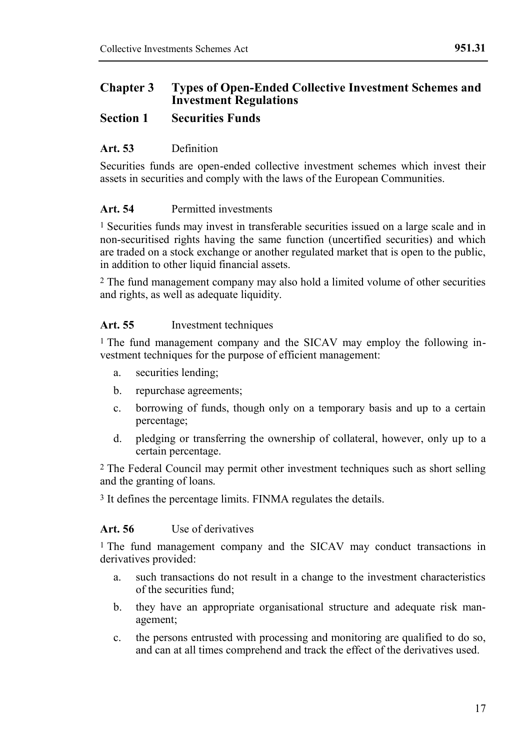#### **Chapter 3 Types of Open-Ended Collective Investment Schemes and Investment Regulations**

#### **Section 1 Securities Funds**

#### **Art. 53** Definition

Securities funds are open-ended collective investment schemes which invest their assets in securities and comply with the laws of the European Communities.

#### **Art. 54** Permitted investments

1 Securities funds may invest in transferable securities issued on a large scale and in non-securitised rights having the same function (uncertified securities) and which are traded on a stock exchange or another regulated market that is open to the public, in addition to other liquid financial assets.

2 The fund management company may also hold a limited volume of other securities and rights, as well as adequate liquidity.

#### **Art. 55** Investment techniques

1 The fund management company and the SICAV may employ the following investment techniques for the purpose of efficient management:

- a. securities lending;
- b. repurchase agreements;
- c. borrowing of funds, though only on a temporary basis and up to a certain percentage;
- d. pledging or transferring the ownership of collateral, however, only up to a certain percentage.

2 The Federal Council may permit other investment techniques such as short selling and the granting of loans.

3 It defines the percentage limits. FINMA regulates the details.

#### **Art. 56** Use of derivatives

1 The fund management company and the SICAV may conduct transactions in derivatives provided:

- a. such transactions do not result in a change to the investment characteristics of the securities fund;
- b. they have an appropriate organisational structure and adequate risk management;
- c. the persons entrusted with processing and monitoring are qualified to do so, and can at all times comprehend and track the effect of the derivatives used.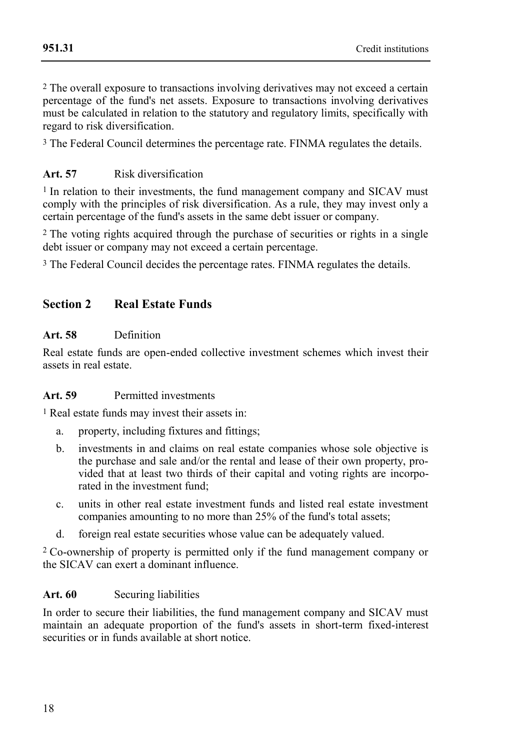2 The overall exposure to transactions involving derivatives may not exceed a certain percentage of the fund's net assets. Exposure to transactions involving derivatives must be calculated in relation to the statutory and regulatory limits, specifically with regard to risk diversification.

3 The Federal Council determines the percentage rate. FINMA regulates the details.

## **Art. 57** Risk diversification

1 In relation to their investments, the fund management company and SICAV must comply with the principles of risk diversification. As a rule, they may invest only a certain percentage of the fund's assets in the same debt issuer or company.

2 The voting rights acquired through the purchase of securities or rights in a single debt issuer or company may not exceed a certain percentage.

3 The Federal Council decides the percentage rates. FINMA regulates the details.

# **Section 2 Real Estate Funds**

#### **Art. 58** Definition

Real estate funds are open-ended collective investment schemes which invest their assets in real estate.

#### **Art. 59** Permitted investments

1 Real estate funds may invest their assets in:

- a. property, including fixtures and fittings;
- b. investments in and claims on real estate companies whose sole objective is the purchase and sale and/or the rental and lease of their own property, provided that at least two thirds of their capital and voting rights are incorporated in the investment fund;
- c. units in other real estate investment funds and listed real estate investment companies amounting to no more than 25% of the fund's total assets;
- d. foreign real estate securities whose value can be adequately valued.

2 Co-ownership of property is permitted only if the fund management company or the SICAV can exert a dominant influence.

#### **Art. 60** Securing liabilities

In order to secure their liabilities, the fund management company and SICAV must maintain an adequate proportion of the fund's assets in short-term fixed-interest securities or in funds available at short notice.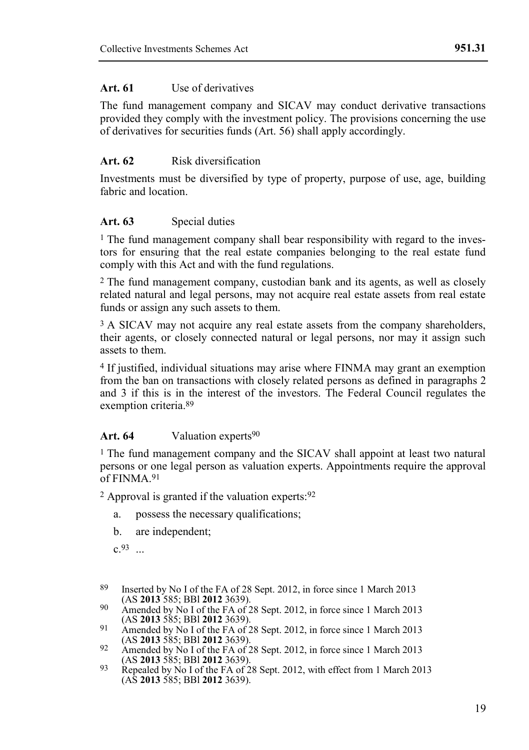#### Art. 61 Use of derivatives

The fund management company and SICAV may conduct derivative transactions provided they comply with the investment policy. The provisions concerning the use of derivatives for securities funds (Art. 56) shall apply accordingly.

#### **Art. 62** Risk diversification

Investments must be diversified by type of property, purpose of use, age, building fabric and location.

#### **Art. 63** Special duties

<sup>1</sup> The fund management company shall bear responsibility with regard to the investors for ensuring that the real estate companies belonging to the real estate fund comply with this Act and with the fund regulations.

2 The fund management company, custodian bank and its agents, as well as closely related natural and legal persons, may not acquire real estate assets from real estate funds or assign any such assets to them.

<sup>3</sup> A SICAV may not acquire any real estate assets from the company shareholders, their agents, or closely connected natural or legal persons, nor may it assign such assets to them.

4 If justified, individual situations may arise where FINMA may grant an exemption from the ban on transactions with closely related persons as defined in paragraphs 2 and 3 if this is in the interest of the investors. The Federal Council regulates the exemption criteria.89

#### Art. 64 Valuation experts<sup>90</sup>

1 The fund management company and the SICAV shall appoint at least two natural persons or one legal person as valuation experts. Appointments require the approval of FINMA 91

2 Approval is granted if the valuation experts:92

- a. possess the necessary qualifications;
- b. are independent;

c.93 ...

- 89 Inserted by No I of the FA of 28 Sept. 2012, in force since 1 March 2013 (AS **2013** 585; BBl **2012** 3639).
- 90 Amended by No I of the FA of 28 Sept. 2012, in force since 1 March 2013 (AS **2013** 585; BBl **2012** 3639).
- 91 Amended by No I of the FA of 28 Sept. 2012, in force since 1 March 2013 (AS **2013** 585; BBl **2012** 3639).
- 92 Amended by No I of the FA of 28 Sept. 2012, in force since 1 March 2013 (AS **2013** 585; BBl **2012** 3639).
- 93 Repealed by No I of the FA of 28 Sept. 2012, with effect from 1 March 2013 (AS **2013** 585; BBl **2012** 3639).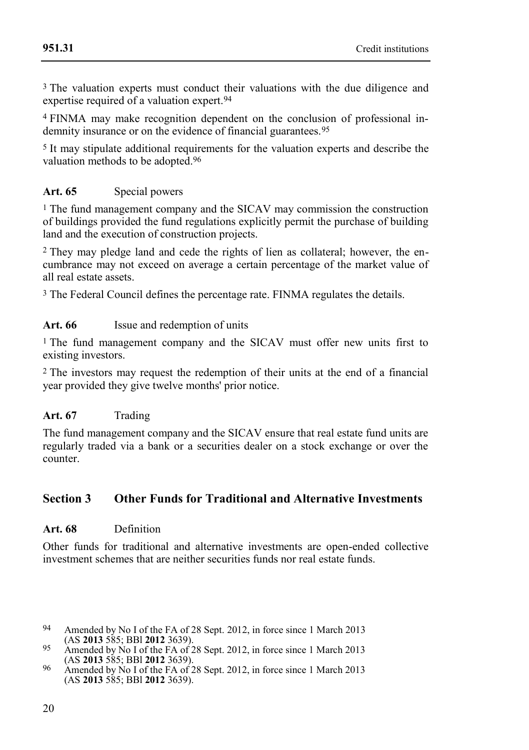<sup>3</sup> The valuation experts must conduct their valuations with the due diligence and expertise required of a valuation expert.<sup>94</sup>

4 FINMA may make recognition dependent on the conclusion of professional indemnity insurance or on the evidence of financial guarantees.<sup>95</sup>

5 It may stipulate additional requirements for the valuation experts and describe the valuation methods to be adopted.96

#### Art. 65 Special powers

1 The fund management company and the SICAV may commission the construction of buildings provided the fund regulations explicitly permit the purchase of building land and the execution of construction projects.

2 They may pledge land and cede the rights of lien as collateral; however, the encumbrance may not exceed on average a certain percentage of the market value of all real estate assets.

3 The Federal Council defines the percentage rate. FINMA regulates the details.

#### **Art. 66** Issue and redemption of units

1 The fund management company and the SICAV must offer new units first to existing investors.

2 The investors may request the redemption of their units at the end of a financial year provided they give twelve months' prior notice.

#### Art. 67 Trading

The fund management company and the SICAV ensure that real estate fund units are regularly traded via a bank or a securities dealer on a stock exchange or over the counter.

#### **Section 3 Other Funds for Traditional and Alternative Investments**

#### **Art. 68** Definition

Other funds for traditional and alternative investments are open-ended collective investment schemes that are neither securities funds nor real estate funds.

- 94 Amended by No I of the FA of 28 Sept. 2012, in force since 1 March 2013 (AS **2013** 585; BBl **2012** 3639).
- 95 Amended by No I of the FA of 28 Sept. 2012, in force since 1 March 2013 (AS **2013** 585; BBl **2012** 3639).
- 96 Amended by No I of the FA of 28 Sept. 2012, in force since 1 March 2013 (AS **2013** 585; BBl **2012** 3639).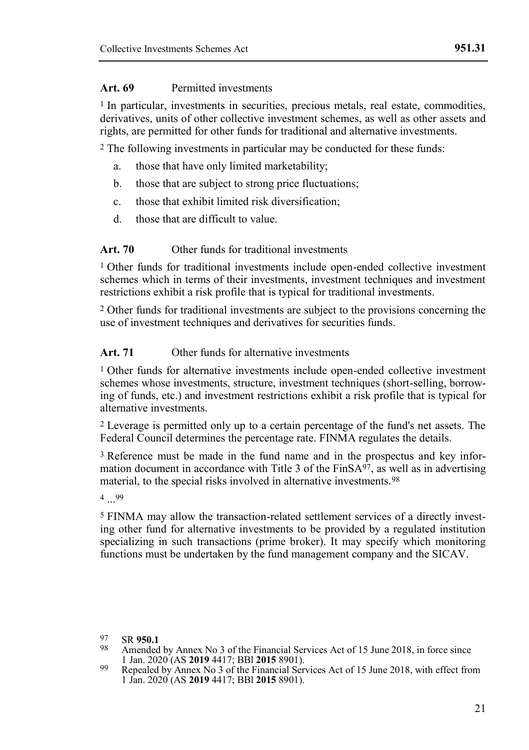#### **Art. 69** Permitted investments

1 In particular, investments in securities, precious metals, real estate, commodities, derivatives, units of other collective investment schemes, as well as other assets and rights, are permitted for other funds for traditional and alternative investments.

2 The following investments in particular may be conducted for these funds:

- a. those that have only limited marketability;
- b. those that are subject to strong price fluctuations;
- c. those that exhibit limited risk diversification;
- d. those that are difficult to value.

#### **Art. 70** Other funds for traditional investments

1 Other funds for traditional investments include open-ended collective investment schemes which in terms of their investments, investment techniques and investment restrictions exhibit a risk profile that is typical for traditional investments.

2 Other funds for traditional investments are subject to the provisions concerning the use of investment techniques and derivatives for securities funds.

#### **Art. 71** Other funds for alternative investments

1 Other funds for alternative investments include open-ended collective investment schemes whose investments, structure, investment techniques (short-selling, borrowing of funds, etc.) and investment restrictions exhibit a risk profile that is typical for alternative investments.

2 Leverage is permitted only up to a certain percentage of the fund's net assets. The Federal Council determines the percentage rate. FINMA regulates the details.

3 Reference must be made in the fund name and in the prospectus and key information document in accordance with Title 3 of the  $\text{FinSA}^{97}$ , as well as in advertising material, to the special risks involved in alternative investments.98

4 ... 99

5 FINMA may allow the transaction-related settlement services of a directly investing other fund for alternative investments to be provided by a regulated institution specializing in such transactions (prime broker). It may specify which monitoring functions must be undertaken by the fund management company and the SICAV.

<sup>97</sup> SR **950.1**

Amended by Annex No 3 of the Financial Services Act of 15 June 2018, in force since 1 Jan. 2020 (AS **2019** 4417; BBl **2015** 8901).

<sup>99</sup> Repealed by Annex No 3 of the Financial Services Act of 15 June 2018, with effect from 1 Jan. 2020 (AS **2019** 4417; BBl **2015** 8901).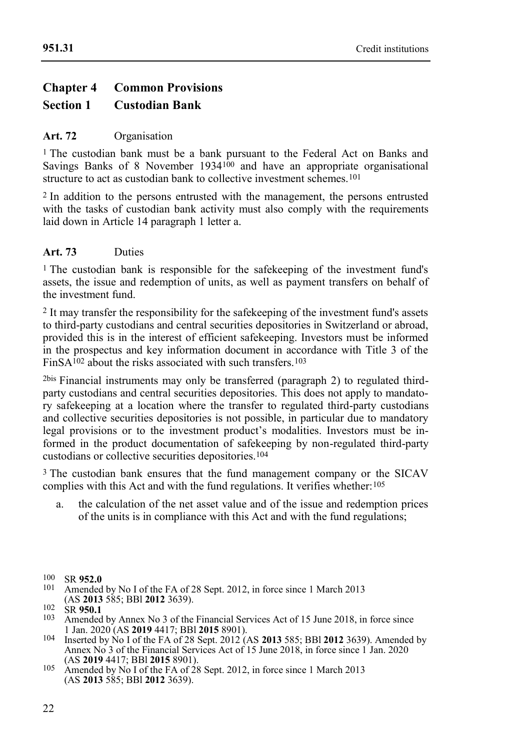# **Chapter 4 Common Provisions Section 1 Custodian Bank**

#### **Art. 72** Organisation

1 The custodian bank must be a bank pursuant to the Federal Act on Banks and Savings Banks of 8 November 1934<sup>100</sup> and have an appropriate organisational structure to act as custodian bank to collective investment schemes.<sup>101</sup>

2 In addition to the persons entrusted with the management, the persons entrusted with the tasks of custodian bank activity must also comply with the requirements laid down in Article 14 paragraph 1 letter a.

#### **Art. 73** Duties

<sup>1</sup> The custodian bank is responsible for the safekeeping of the investment fund's assets, the issue and redemption of units, as well as payment transfers on behalf of the investment fund.

2 It may transfer the responsibility for the safekeeping of the investment fund's assets to third-party custodians and central securities depositories in Switzerland or abroad, provided this is in the interest of efficient safekeeping. Investors must be informed in the prospectus and key information document in accordance with Title 3 of the FinSA $102$  about the risks associated with such transfers.<sup>103</sup>

2bis Financial instruments may only be transferred (paragraph 2) to regulated thirdparty custodians and central securities depositories. This does not apply to mandatory safekeeping at a location where the transfer to regulated third-party custodians and collective securities depositories is not possible, in particular due to mandatory legal provisions or to the investment product's modalities. Investors must be informed in the product documentation of safekeeping by non-regulated third-party custodians or collective securities depositories.104

<sup>3</sup> The custodian bank ensures that the fund management company or the SICAV complies with this Act and with the fund regulations. It verifies whether:105

a. the calculation of the net asset value and of the issue and redemption prices of the units is in compliance with this Act and with the fund regulations;

<sup>100</sup> SR **952.0**

Amended by No I of the FA of 28 Sept. 2012, in force since 1 March 2013 (AS **2013** 585; BBl **2012** 3639).

 $^{102}_{103}$  SR **950.1** 

Amended by Annex No 3 of the Financial Services Act of 15 June 2018, in force since 1 Jan. 2020 (AS **2019** 4417; BBl **2015** 8901).

<sup>104</sup> Inserted by No I of the FA of 28 Sept. 2012 (AS **2013** 585; BBl **2012** 3639). Amended by Annex No  $3$  of the Financial Services Act of  $15$  June 2018, in force since 1 Jan. 2020 (AS **2019** 4417; BBl **2015** 8901).

<sup>105</sup> Amended by No I of the FA of 28 Sept. 2012, in force since 1 March 2013 (AS **2013** 585; BBl **2012** 3639).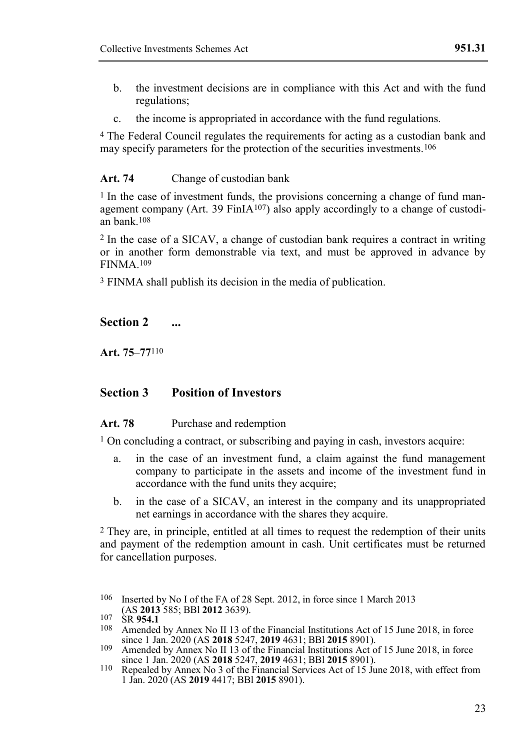- b. the investment decisions are in compliance with this Act and with the fund regulations;
- c. the income is appropriated in accordance with the fund regulations.

4 The Federal Council regulates the requirements for acting as a custodian bank and may specify parameters for the protection of the securities investments.106

#### **Art. 74** Change of custodian bank

<sup>1</sup> In the case of investment funds, the provisions concerning a change of fund management company (Art. 39 FinIA<sup>107</sup>) also apply accordingly to a change of custodian bank.108

2 In the case of a SICAV, a change of custodian bank requires a contract in writing or in another form demonstrable via text, and must be approved in advance by FINMA.109

3 FINMA shall publish its decision in the media of publication.

#### **Section 2 ...**

**Art. 75**–**77**110

#### **Section 3 Position of Investors**

#### Art. 78 Purchase and redemption

1 On concluding a contract, or subscribing and paying in cash, investors acquire:

- a. in the case of an investment fund, a claim against the fund management company to participate in the assets and income of the investment fund in accordance with the fund units they acquire;
- b. in the case of a SICAV, an interest in the company and its unappropriated net earnings in accordance with the shares they acquire.

2 They are, in principle, entitled at all times to request the redemption of their units and payment of the redemption amount in cash. Unit certificates must be returned for cancellation purposes.

106 Inserted by No I of the FA of 28 Sept. 2012, in force since 1 March 2013 (AS **2013** 585; BBl **2012** 3639).

- 108 Amended by Annex No II 13 of the Financial Institutions Act of 15 June 2018, in force since 1 Jan. 2020 (AS **2018** 5247, **2019** 4631; BBl **2015** 8901). 109 Amended by Annex No II 13 of the Financial Institutions Act of 15 June 2018, in force
- since 1 Jan. 2020 (AS **2018** 5247, **2019** 4631; BBl **2015** 8901).
- 110 Repealed by Annex No 3 of the Financial Services Act of 15 June 2018, with effect from 1 Jan. 2020 (AS **2019** 4417; BBl **2015** 8901).

<sup>107</sup> SR **954.1**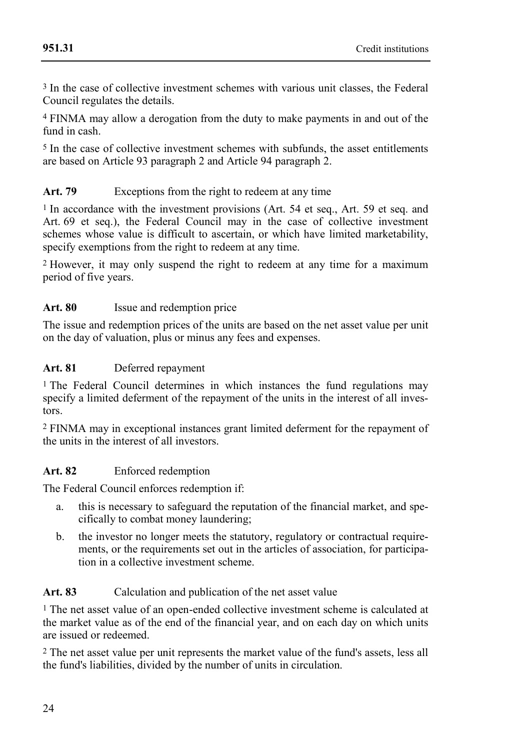3 In the case of collective investment schemes with various unit classes, the Federal Council regulates the details.

4 FINMA may allow a derogation from the duty to make payments in and out of the fund in cash.

5 In the case of collective investment schemes with subfunds, the asset entitlements are based on Article 93 paragraph 2 and Article 94 paragraph 2.

# Art. 79 Exceptions from the right to redeem at any time

1 In accordance with the investment provisions (Art. 54 et seq., Art. 59 et seq. and Art. 69 et seq.), the Federal Council may in the case of collective investment schemes whose value is difficult to ascertain, or which have limited marketability, specify exemptions from the right to redeem at any time.

2 However, it may only suspend the right to redeem at any time for a maximum period of five years.

#### Art. 80 **Issue and redemption price**

The issue and redemption prices of the units are based on the net asset value per unit on the day of valuation, plus or minus any fees and expenses.

#### **Art. 81** Deferred repayment

1 The Federal Council determines in which instances the fund regulations may specify a limited deferment of the repayment of the units in the interest of all investors.

2 FINMA may in exceptional instances grant limited deferment for the repayment of the units in the interest of all investors.

#### **Art. 82** Enforced redemption

The Federal Council enforces redemption if:

- a. this is necessary to safeguard the reputation of the financial market, and specifically to combat money laundering;
- b. the investor no longer meets the statutory, regulatory or contractual requirements, or the requirements set out in the articles of association, for participation in a collective investment scheme.

#### Art. 83 Calculation and publication of the net asset value

1 The net asset value of an open-ended collective investment scheme is calculated at the market value as of the end of the financial year, and on each day on which units are issued or redeemed.

2 The net asset value per unit represents the market value of the fund's assets, less all the fund's liabilities, divided by the number of units in circulation.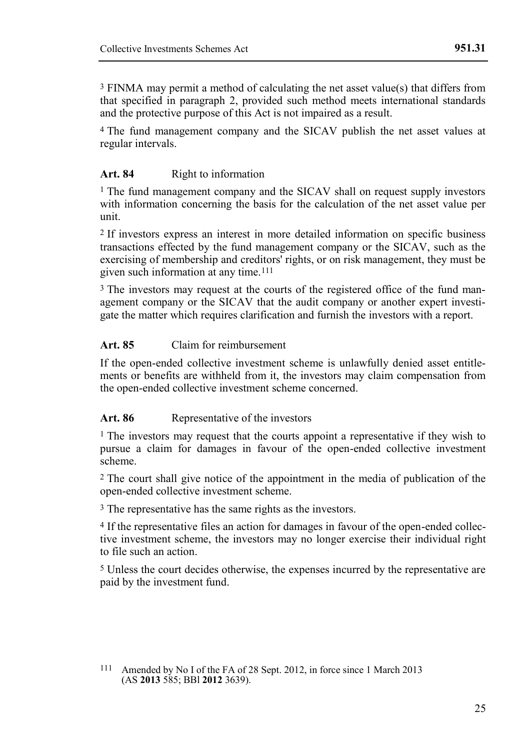3 FINMA may permit a method of calculating the net asset value(s) that differs from that specified in paragraph 2, provided such method meets international standards and the protective purpose of this Act is not impaired as a result.

<sup>4</sup> The fund management company and the SICAV publish the net asset values at regular intervals.

#### Art. 84 Right to information

1 The fund management company and the SICAV shall on request supply investors with information concerning the basis for the calculation of the net asset value per unit.

2 If investors express an interest in more detailed information on specific business transactions effected by the fund management company or the SICAV, such as the exercising of membership and creditors' rights, or on risk management, they must be given such information at any time.111

<sup>3</sup> The investors may request at the courts of the registered office of the fund management company or the SICAV that the audit company or another expert investigate the matter which requires clarification and furnish the investors with a report.

#### **Art. 85** Claim for reimbursement

If the open-ended collective investment scheme is unlawfully denied asset entitlements or benefits are withheld from it, the investors may claim compensation from the open-ended collective investment scheme concerned.

#### Art. 86 Representative of the investors

<sup>1</sup> The investors may request that the courts appoint a representative if they wish to pursue a claim for damages in favour of the open-ended collective investment scheme.

2 The court shall give notice of the appointment in the media of publication of the open-ended collective investment scheme.

3 The representative has the same rights as the investors.

4 If the representative files an action for damages in favour of the open-ended collective investment scheme, the investors may no longer exercise their individual right to file such an action.

5 Unless the court decides otherwise, the expenses incurred by the representative are paid by the investment fund.

<sup>111</sup> Amended by No I of the FA of 28 Sept. 2012, in force since 1 March 2013 (AS **2013** 585; BBl **2012** 3639).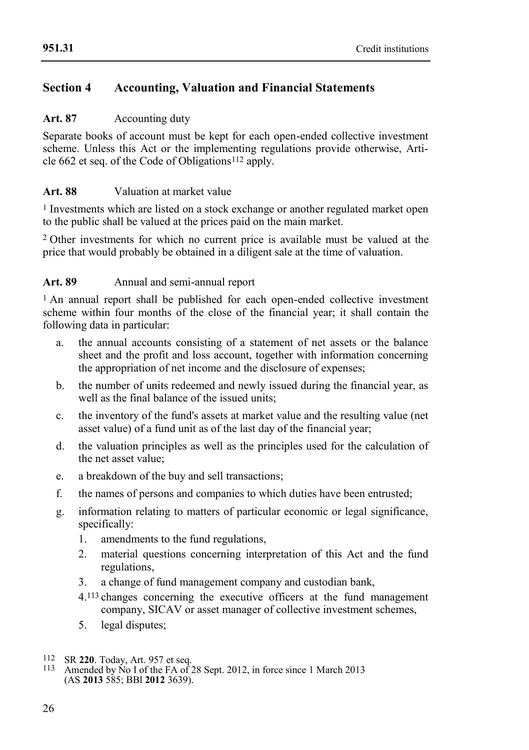# **Section 4 Accounting, Valuation and Financial Statements**

#### Art. 87 Accounting duty

Separate books of account must be kept for each open-ended collective investment scheme. Unless this Act or the implementing regulations provide otherwise, Article 662 et seq. of the Code of Obligations112 apply.

#### **Art. 88** Valuation at market value

1 Investments which are listed on a stock exchange or another regulated market open to the public shall be valued at the prices paid on the main market.

2 Other investments for which no current price is available must be valued at the price that would probably be obtained in a diligent sale at the time of valuation.

#### **Art. 89** Annual and semi-annual report

<sup>1</sup> An annual report shall be published for each open-ended collective investment scheme within four months of the close of the financial year; it shall contain the following data in particular:

- a. the annual accounts consisting of a statement of net assets or the balance sheet and the profit and loss account, together with information concerning the appropriation of net income and the disclosure of expenses;
- b. the number of units redeemed and newly issued during the financial year, as well as the final balance of the issued units;
- c. the inventory of the fund's assets at market value and the resulting value (net asset value) of a fund unit as of the last day of the financial year;
- d. the valuation principles as well as the principles used for the calculation of the net asset value;
- e. a breakdown of the buy and sell transactions;
- f. the names of persons and companies to which duties have been entrusted;
- g. information relating to matters of particular economic or legal significance, specifically:
	- 1. amendments to the fund regulations,
	- 2. material questions concerning interpretation of this Act and the fund regulations,
	- 3. a change of fund management company and custodian bank,
	- 4.113 changes concerning the executive officers at the fund management company, SICAV or asset manager of collective investment schemes,
	- 5. legal disputes;
- 112 SR **220**. Today, Art. 957 et seq.
- Amended by  $\overrightarrow{No}$  I of the FA of 28 Sept. 2012, in force since 1 March 2013 (AS **2013** 585; BBl **2012** 3639).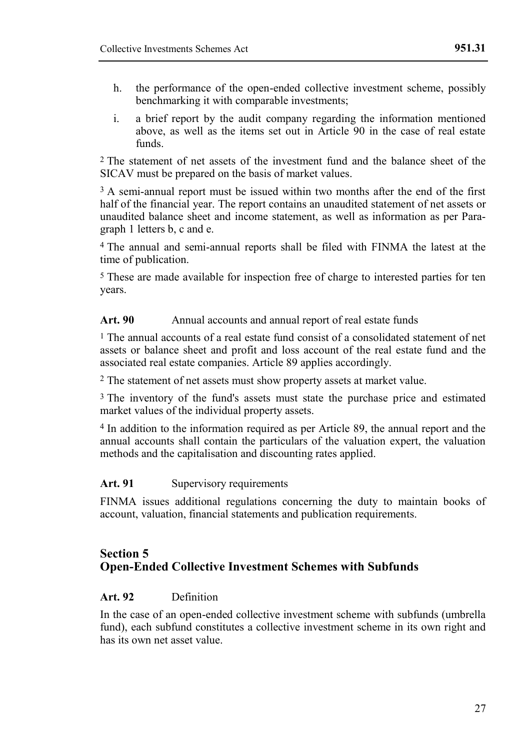- h. the performance of the open-ended collective investment scheme, possibly benchmarking it with comparable investments;
- i. a brief report by the audit company regarding the information mentioned above, as well as the items set out in Article  $90$  in the case of real estate funds.

2 The statement of net assets of the investment fund and the balance sheet of the SICAV must be prepared on the basis of market values.

<sup>3</sup> A semi-annual report must be issued within two months after the end of the first half of the financial year. The report contains an unaudited statement of net assets or unaudited balance sheet and income statement, as well as information as per Paragraph 1 letters b, c and e.

4 The annual and semi-annual reports shall be filed with FINMA the latest at the time of publication.

5 These are made available for inspection free of charge to interested parties for ten years.

#### Art. 90 Annual accounts and annual report of real estate funds

1 The annual accounts of a real estate fund consist of a consolidated statement of net assets or balance sheet and profit and loss account of the real estate fund and the associated real estate companies. Article 89 applies accordingly.

2 The statement of net assets must show property assets at market value.

<sup>3</sup> The inventory of the fund's assets must state the purchase price and estimated market values of the individual property assets.

4 In addition to the information required as per Article 89, the annual report and the annual accounts shall contain the particulars of the valuation expert, the valuation methods and the capitalisation and discounting rates applied.

#### Art. 91 Supervisory requirements

FINMA issues additional regulations concerning the duty to maintain books of account, valuation, financial statements and publication requirements.

#### **Section 5 Open-Ended Collective Investment Schemes with Subfunds**

#### **Art. 92** Definition

In the case of an open-ended collective investment scheme with subfunds (umbrella fund), each subfund constitutes a collective investment scheme in its own right and has its own net asset value.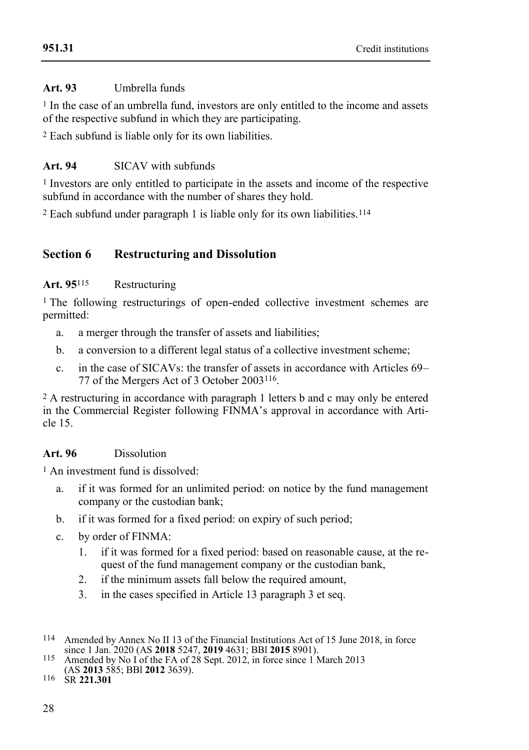#### **[951.31](#page-0-0)**

# **Art. 93** Umbrella funds

1 In the case of an umbrella fund, investors are only entitled to the income and assets of the respective subfund in which they are participating.

2 Each subfund is liable only for its own liabilities.

# **Art. 94** SICAV with subfunds

1 Investors are only entitled to participate in the assets and income of the respective subfund in accordance with the number of shares they hold.

2 Each subfund under paragraph 1 is liable only for its own liabilities.114

# **Section 6 Restructuring and Dissolution**

#### **Art. 95**115 Restructuring

1 The following restructurings of open-ended collective investment schemes are permitted:

- a. a merger through the transfer of assets and liabilities;
- b. a conversion to a different legal status of a collective investment scheme;
- c. in the case of SICAVs: the transfer of assets in accordance with Articles 69– 77 of the Mergers Act of 3 October 2003116.

2 A restructuring in accordance with paragraph 1 letters b and c may only be entered in the Commercial Register following FINMA's approval in accordance with Article 15.

# **Art. 96** Dissolution

1 An investment fund is dissolved:

- a. if it was formed for an unlimited period: on notice by the fund management company or the custodian bank;
- b. if it was formed for a fixed period: on expiry of such period;
- c. by order of FINMA:
	- 1. if it was formed for a fixed period: based on reasonable cause, at the request of the fund management company or the custodian bank,
	- 2. if the minimum assets fall below the required amount,
	- 3. in the cases specified in Article 13 paragraph 3 et seq.

116 SR **221.301**

<sup>114</sup> Amended by Annex No II 13 of the Financial Institutions Act of 15 June 2018, in force since 1 Jan. 2020 (AS **2018** 5247, **2019** 4631; BBl **2015** 8901). 115 Amended by No I of the FA of 28 Sept. 2012, in force since 1 March 2013

<sup>(</sup>AS **2013** 585; BBl **2012** 3639).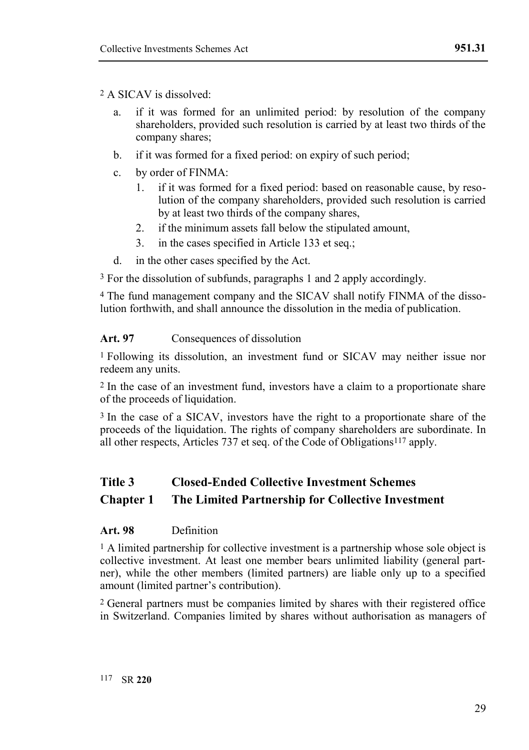#### 2 A SICAV is dissolved:

- a. if it was formed for an unlimited period: by resolution of the company shareholders, provided such resolution is carried by at least two thirds of the company shares;
- b. if it was formed for a fixed period: on expiry of such period;
- c. by order of FINMA:
	- 1. if it was formed for a fixed period: based on reasonable cause, by resolution of the company shareholders, provided such resolution is carried by at least two thirds of the company shares,
	- 2. if the minimum assets fall below the stipulated amount,
	- 3. in the cases specified in Article 133 et seq.;
- d. in the other cases specified by the Act.

3 For the dissolution of subfunds, paragraphs 1 and 2 apply accordingly.

4 The fund management company and the SICAV shall notify FINMA of the dissolution forthwith, and shall announce the dissolution in the media of publication.

#### Art. 97 Consequences of dissolution

1 Following its dissolution, an investment fund or SICAV may neither issue nor redeem any units.

2 In the case of an investment fund, investors have a claim to a proportionate share of the proceeds of liquidation.

3 In the case of a SICAV, investors have the right to a proportionate share of the proceeds of the liquidation. The rights of company shareholders are subordinate. In all other respects, Articles 737 et seq. of the Code of Obligations117 apply.

# **Title 3 Closed-Ended Collective Investment Schemes**

#### **Chapter 1 The Limited Partnership for Collective Investment**

#### **Art. 98** Definition

1 A limited partnership for collective investment is a partnership whose sole object is collective investment. At least one member bears unlimited liability (general partner), while the other members (limited partners) are liable only up to a specified amount (limited partner's contribution).

2 General partners must be companies limited by shares with their registered office in Switzerland. Companies limited by shares without authorisation as managers of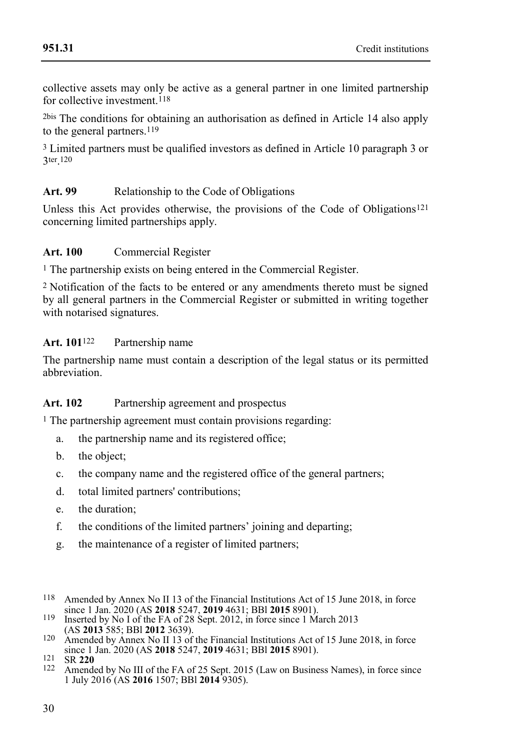collective assets may only be active as a general partner in one limited partnership for collective investment.<sup>118</sup>

2bis The conditions for obtaining an authorisation as defined in Article 14 also apply to the general partners.<sup>119</sup>

3 Limited partners must be qualified investors as defined in Article 10 paragraph 3 or 3ter . 120

# Art. 99 Relationship to the Code of Obligations

Unless this Act provides otherwise, the provisions of the Code of Obligations121 concerning limited partnerships apply.

#### **Art. 100** Commercial Register

1 The partnership exists on being entered in the Commercial Register.

2 Notification of the facts to be entered or any amendments thereto must be signed by all general partners in the Commercial Register or submitted in writing together with notarised signatures.

#### **Art. 101**122 Partnership name

The partnership name must contain a description of the legal status or its permitted abbreviation.

#### **Art. 102** Partnership agreement and prospectus

<sup>1</sup> The partnership agreement must contain provisions regarding:

- a. the partnership name and its registered office;
- b. the object;
- c. the company name and the registered office of the general partners;
- d. total limited partners' contributions;
- e. the duration;
- f. the conditions of the limited partners' joining and departing;
- g. the maintenance of a register of limited partners;
- 118 Amended by Annex No II 13 of the Financial Institutions Act of 15 June 2018, in force since 1 Jan. 2020 (AS **2018** 5247, **2019** 4631; BBl **2015** 8901).
- 119 Inserted by No I of the FA of 28 Sept. 2012, in force since 1 March 2013 (AS **2013** 585; BBl **2012** 3639).
- 120 Amended by Annex No II 13 of the Financial Institutions Act of 15 June 2018, in force since 1 Jan. 2020 (AS **2018** 5247, **2019** 4631; BBl **2015** 8901).

Amended by No III of the FA of 25 Sept. 2015 (Law on Business Names), in force since 1 July 2016 (AS **2016** 1507; BBl **2014** 9305).

<sup>121</sup> SR **220**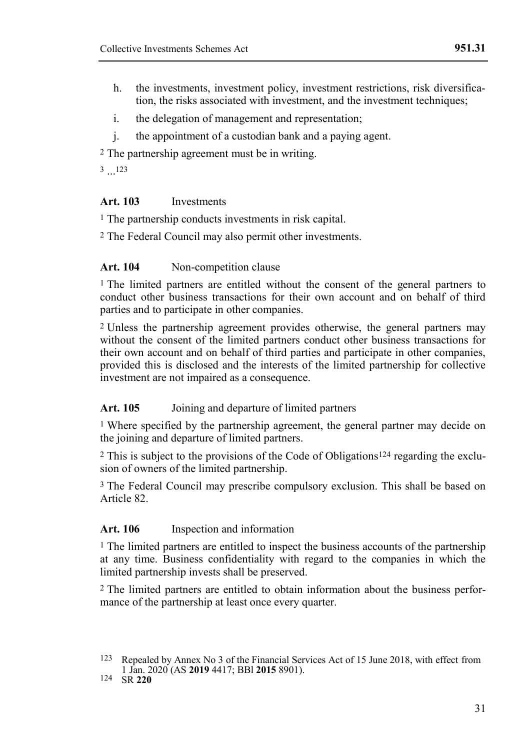- h. the investments, investment policy, investment restrictions, risk diversification, the risks associated with investment, and the investment techniques;
- i. the delegation of management and representation;
- j. the appointment of a custodian bank and a paying agent.

2 The partnership agreement must be in writing.

3 ... 123

#### **Art. 103** Investments

1 The partnership conducts investments in risk capital.

2 The Federal Council may also permit other investments.

#### Art. 104 Non-competition clause

<sup>1</sup> The limited partners are entitled without the consent of the general partners to conduct other business transactions for their own account and on behalf of third parties and to participate in other companies.

2 Unless the partnership agreement provides otherwise, the general partners may without the consent of the limited partners conduct other business transactions for their own account and on behalf of third parties and participate in other companies, provided this is disclosed and the interests of the limited partnership for collective investment are not impaired as a consequence.

#### Art. 105 **Joining and departure of limited partners**

1 Where specified by the partnership agreement, the general partner may decide on the joining and departure of limited partners.

2 This is subject to the provisions of the Code of Obligations124 regarding the exclusion of owners of the limited partnership.

3 The Federal Council may prescribe compulsory exclusion. This shall be based on Article 82.

#### **Art. 106** Inspection and information

1 The limited partners are entitled to inspect the business accounts of the partnership at any time. Business confidentiality with regard to the companies in which the limited partnership invests shall be preserved.

2 The limited partners are entitled to obtain information about the business performance of the partnership at least once every quarter.

<sup>123</sup> Repealed by Annex No 3 of the Financial Services Act of 15 June 2018, with effect from 1 Jan. 2020 (AS **2019** 4417; BBl **2015** 8901).

<sup>124</sup> SR **220**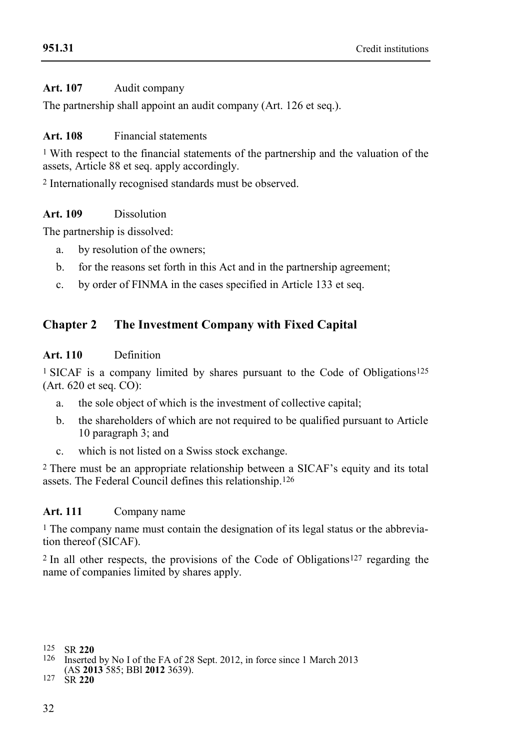# **[951.31](#page-0-0)**

#### **Art. 107** Audit company

The partnership shall appoint an audit company (Art. 126 et seq.).

#### **Art. 108** Financial statements

<sup>1</sup> With respect to the financial statements of the partnership and the valuation of the assets, Article 88 et seq. apply accordingly.

2 Internationally recognised standards must be observed.

#### **Art. 109** Dissolution

The partnership is dissolved:

- a. by resolution of the owners;
- b. for the reasons set forth in this Act and in the partnership agreement;
- c. by order of FINMA in the cases specified in Article 133 et seq.

# **Chapter 2 The Investment Company with Fixed Capital**

#### **Art. 110** Definition

1 SICAF is a company limited by shares pursuant to the Code of Obligations125 (Art. 620 et seq. CO):

- a. the sole object of which is the investment of collective capital;
- b. the shareholders of which are not required to be qualified pursuant to Article 10 paragraph 3; and
- c. which is not listed on a Swiss stock exchange.

2 There must be an appropriate relationship between a SICAF's equity and its total assets. The Federal Council defines this relationship.126

#### **Art. 111** Company name

1 The company name must contain the designation of its legal status or the abbreviation thereof (SICAF).

2 In all other respects, the provisions of the Code of Obligations127 regarding the name of companies limited by shares apply.

- Inserted by No I of the FA of 28 Sept. 2012, in force since 1 March 2013
- (AS **2013** 585; BBl **2012** 3639).

127 SR **220**

<sup>125</sup> SR **220**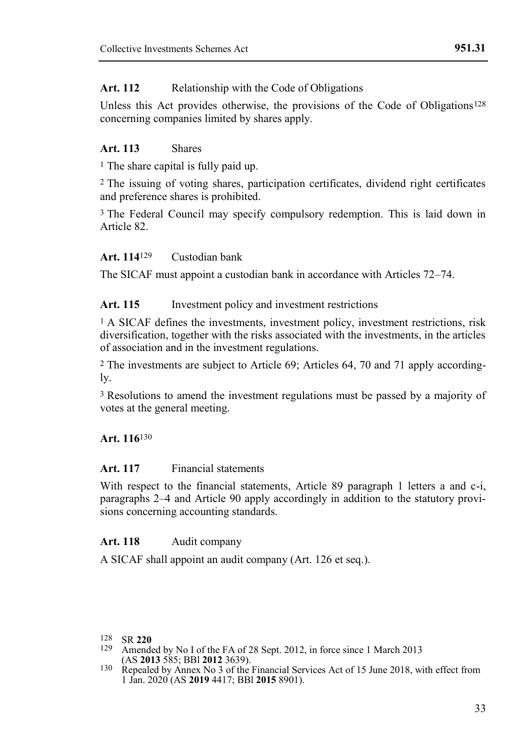#### Art. 112 Relationship with the Code of Obligations

Unless this Act provides otherwise, the provisions of the Code of Obligations<sup>128</sup> concerning companies limited by shares apply.

#### **Art. 113** Shares

<sup>1</sup> The share capital is fully paid up.

2 The issuing of voting shares, participation certificates, dividend right certificates and preference shares is prohibited.

3 The Federal Council may specify compulsory redemption. This is laid down in Article 82.

#### **Art. 114**129 Custodian bank

The SICAF must appoint a custodian bank in accordance with Articles 72–74.

#### Art. 115 Investment policy and investment restrictions

<sup>1</sup> A SICAF defines the investments, investment policy, investment restrictions, risk diversification, together with the risks associated with the investments, in the articles of association and in the investment regulations.

2 The investments are subject to Article 69; Articles 64, 70 and 71 apply accordingly.

3 Resolutions to amend the investment regulations must be passed by a majority of votes at the general meeting.

#### **Art. 116**130

#### **Art. 117** Financial statements

With respect to the financial statements, Article 89 paragraph 1 letters a and c-i, paragraphs 2–4 and Article 90 apply accordingly in addition to the statutory provisions concerning accounting standards.

#### Art. 118 Audit company

A SICAF shall appoint an audit company (Art. 126 et seq.).

Amended by No I of the FA of 28 Sept. 2012, in force since 1 March 2013 (AS **2013** 585; BBl **2012** 3639).

<sup>128</sup> SR **220**

<sup>130</sup> Repealed by Annex No 3 of the Financial Services Act of 15 June 2018, with effect from 1 Jan. 2020 (AS **2019** 4417; BBl **2015** 8901).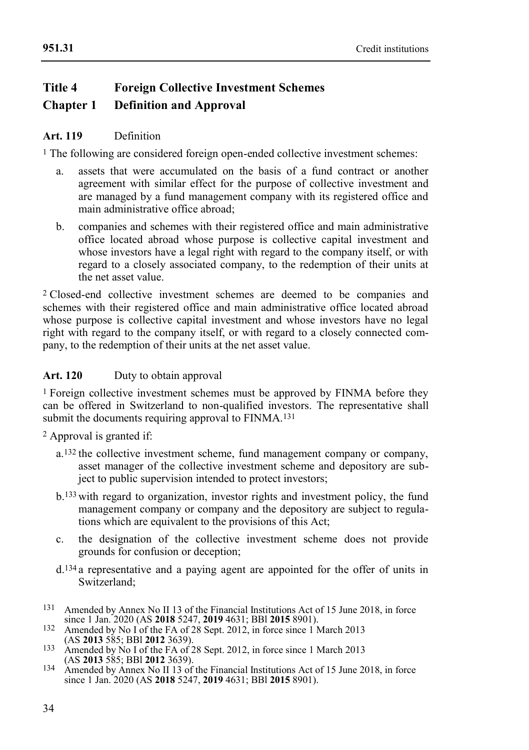# **Title 4 Foreign Collective Investment Schemes Chapter 1 Definition and Approval**

#### **Art. 119** Definition

1 The following are considered foreign open-ended collective investment schemes:

- a. assets that were accumulated on the basis of a fund contract or another agreement with similar effect for the purpose of collective investment and are managed by a fund management company with its registered office and main administrative office abroad;
- b. companies and schemes with their registered office and main administrative office located abroad whose purpose is collective capital investment and whose investors have a legal right with regard to the company itself, or with regard to a closely associated company, to the redemption of their units at the net asset value.

2 Closed-end collective investment schemes are deemed to be companies and schemes with their registered office and main administrative office located abroad whose purpose is collective capital investment and whose investors have no legal right with regard to the company itself, or with regard to a closely connected company, to the redemption of their units at the net asset value.

#### Art. 120 Duty to obtain approval

1 Foreign collective investment schemes must be approved by FINMA before they can be offered in Switzerland to non-qualified investors. The representative shall submit the documents requiring approval to FINMA.<sup>131</sup>

2 Approval is granted if:

- a.132 the collective investment scheme, fund management company or company, asset manager of the collective investment scheme and depository are subject to public supervision intended to protect investors;
- b.133 with regard to organization, investor rights and investment policy, the fund management company or company and the depository are subject to regulations which are equivalent to the provisions of this Act;
- c. the designation of the collective investment scheme does not provide grounds for confusion or deception;
- d.134 a representative and a paying agent are appointed for the offer of units in Switzerland;
- 131 Amended by Annex No II 13 of the Financial Institutions Act of 15 June 2018, in force since 1 Jan. 2020 (AS **2018** 5247, **2019** 4631; BBl **2015** 8901). 132 Amended by No I of the FA of 28 Sept. 2012, in force since 1 March 2013
- (AS **2013** 585; BBl **2012** 3639).
- 133 Amended by No I of the FA of 28 Sept. 2012, in force since 1 March 2013 (AS **2013** 585; BBl **2012** 3639).
- 134 Amended by Annex No II 13 of the Financial Institutions Act of 15 June 2018, in force since 1 Jan. 2020 (AS **2018** 5247, **2019** 4631; BBl **2015** 8901).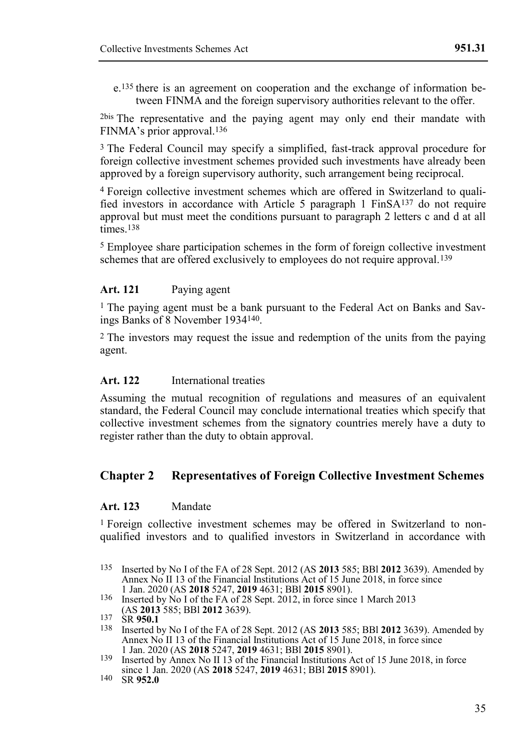e.135 there is an agreement on cooperation and the exchange of information between FINMA and the foreign supervisory authorities relevant to the offer.

2bis The representative and the paying agent may only end their mandate with FINMA's prior approval 136

3 The Federal Council may specify a simplified, fast-track approval procedure for foreign collective investment schemes provided such investments have already been approved by a foreign supervisory authority, such arrangement being reciprocal.

4 Foreign collective investment schemes which are offered in Switzerland to qualified investors in accordance with Article 5 paragraph 1 FinSA137 do not require approval but must meet the conditions pursuant to paragraph 2 letters c and d at all times.<sup>138</sup>

5 Employee share participation schemes in the form of foreign collective investment schemes that are offered exclusively to employees do not require approval.<sup>139</sup>

#### **Art. 121** Paying agent

<sup>1</sup> The paying agent must be a bank pursuant to the Federal Act on Banks and Sayings Banks of 8 November 1934140.

2 The investors may request the issue and redemption of the units from the paying agent.

#### **Art. 122** International treaties

Assuming the mutual recognition of regulations and measures of an equivalent standard, the Federal Council may conclude international treaties which specify that collective investment schemes from the signatory countries merely have a duty to register rather than the duty to obtain approval.

#### **Chapter 2 Representatives of Foreign Collective Investment Schemes**

#### **Art. 123** Mandate

1 Foreign collective investment schemes may be offered in Switzerland to nonqualified investors and to qualified investors in Switzerland in accordance with

- 138 Inserted by No I of the FA of 28 Sept. 2012 (AS **2013** 585; BBl **2012** 3639). Amended by Annex No II 13 of the Financial Institutions Act of 15 June 2018, in force since 1 Jan. 2020 (AS **2018** 5247, **2019** 4631; BBl **2015** 8901).
- 139 Inserted by Annex No II 13 of the Financial Institutions Act of 15 June 2018, in force since 1 Jan. 2020 (AS **2018** 5247, **2019** 4631; BBl **2015** 8901).
- 140 SR **952.0**

<sup>135</sup> Inserted by No I of the FA of 28 Sept. 2012 (AS **2013** 585; BBl **2012** 3639). Amended by Annex No II 13 of the Financial Institutions Act of 15 June 2018, in force since 1 Jan. 2020 (AS **2018** 5247, **2019** 4631; BBl **2015** 8901).

<sup>136</sup> Inserted by No I of the FA of 28 Sept. 2012, in force since 1 March 2013 (AS **2013** 585; BBl **2012** 3639).

<sup>137</sup> SR **950.1**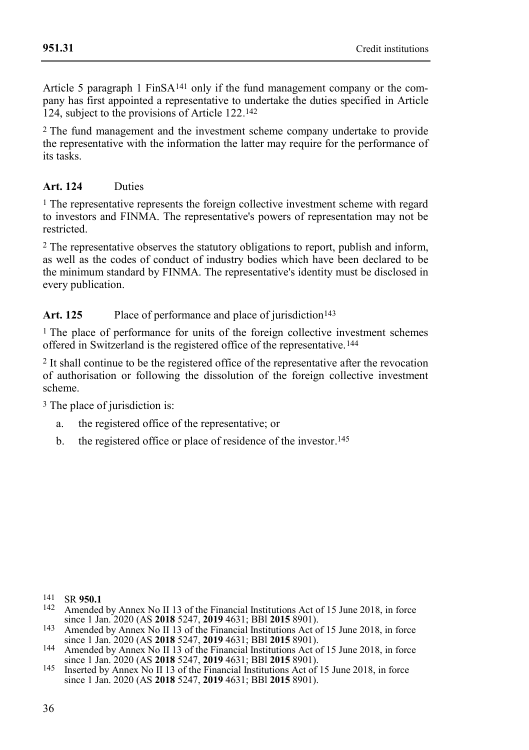Article 5 paragraph 1 Fin $SA^{141}$  only if the fund management company or the company has first appointed a representative to undertake the duties specified in Article 124, subject to the provisions of Article 122. 142

2 The fund management and the investment scheme company undertake to provide the representative with the information the latter may require for the performance of its tasks.

# **Art. 124** Duties

 $<sup>1</sup>$  The representative represents the foreign collective investment scheme with regard</sup> to investors and FINMA. The representative's powers of representation may not be restricted.

2 The representative observes the statutory obligations to report, publish and inform, as well as the codes of conduct of industry bodies which have been declared to be the minimum standard by FINMA. The representative's identity must be disclosed in every publication.

#### Art. 125 Place of performance and place of jurisdiction<sup>143</sup>

1 The place of performance for units of the foreign collective investment schemes offered in Switzerland is the registered office of the representative.144

2 It shall continue to be the registered office of the representative after the revocation of authorisation or following the dissolution of the foreign collective investment scheme.

3 The place of jurisdiction is:

- a. the registered office of the representative; or
- b. the registered office or place of residence of the investor. 145

<sup>141</sup> SR **950.1**

<sup>142</sup> Amended by Annex No II 13 of the Financial Institutions Act of 15 June 2018, in force since 1 Jan. 2020 (AS **2018** 5247, **2019** 4631; BBl **2015** 8901). 143 Amended by Annex No II 13 of the Financial Institutions Act of 15 June 2018, in force

since 1 Jan. 2020 (AS **2018** 5247, **2019** 4631; BBl **2015** 8901). 144 Amended by Annex No II 13 of the Financial Institutions Act of 15 June 2018, in force since 1 Jan. 2020 (AS **2018** 5247, **2019** 4631; BBl **2015** 8901).

<sup>145</sup> Inserted by Annex No II 13 of the Financial Institutions Act of 15 June 2018, in force since 1 Jan. 2020 (AS **2018** 5247, **2019** 4631; BBl **2015** 8901).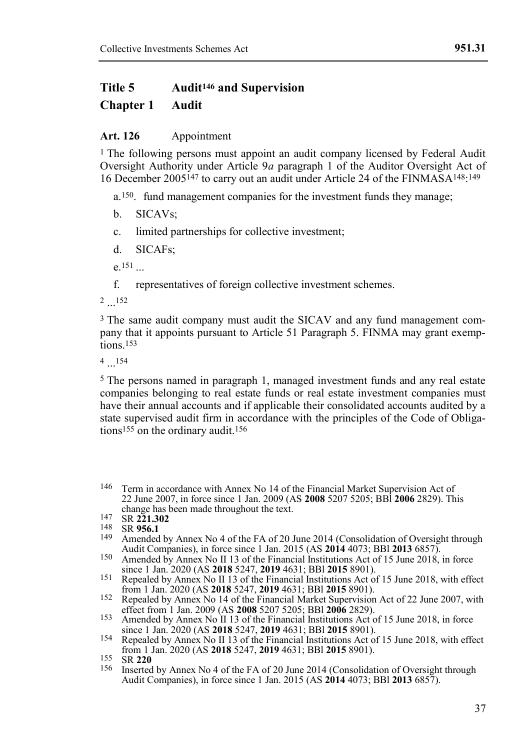# **Title 5 Audit<sup>146</sup> and Supervision**

## **Chapter 1 Audit**

#### **Art. 126** Appointment

1 The following persons must appoint an audit company licensed by Federal Audit Oversight Authority under Article 9*a* paragraph 1 of the Auditor Oversight Act of 16 December 2005147 to carry out an audit under Article 24 of the FINMASA148: 149

a.150. fund management companies for the investment funds they manage;

- b. SICAVs:
- c. limited partnerships for collective investment;
- d. SICAFs;

e. 151

f. representatives of foreign collective investment schemes.

2 ... 152

3 The same audit company must audit the SICAV and any fund management company that it appoints pursuant to Article 51 Paragraph 5. FINMA may grant exemptions.<sup>153</sup>

 $4 \dots 154$ 

5 The persons named in paragraph 1, managed investment funds and any real estate companies belonging to real estate funds or real estate investment companies must have their annual accounts and if applicable their consolidated accounts audited by a state supervised audit firm in accordance with the principles of the Code of Obligations<sup>155</sup> on the ordinary audit.<sup>156</sup>

- Amended by Annex No 4 of the FA of 20 June 2014 (Consolidation of Oversight through Audit Companies), in force since 1 Jan. 2015 (AS **2014** 4073; BBl **2013** 6857).
- 150 Amended by Annex No II 13 of the Financial Institutions Act of 15 June 2018, in force since 1 Jan. 2020 (AS **2018** 5247, **2019** 4631; BBl **2015** 8901).
- 151 Repealed by Annex No II 13 of the Financial Institutions Act of 15 June 2018, with effect from 1 Jan. 2020 (AS **2018** 5247, **2019** 4631; BBl **2015** 8901).
- 152 Repealed by Annex No 14 of the Financial Market Supervision Act of 22 June 2007, with effect from 1 Jan. 2009 (AS **2008** 5207 5205; BBl **2006** 2829).
- 153 Amended by Annex No II 13 of the Financial Institutions Act of 15 June 2018, in force since 1 Jan. 2020 (AS **2018** 5247, **2019** 4631; BBl **2015** 8901).
- 154 Repealed by Annex No II 13 of the Financial Institutions Act of 15 June 2018, with effect from 1 Jan. 2020 (AS **2018** 5247, **2019** 4631; BBl **2015** 8901).
- 155 SR **220**
- 156 Inserted by Annex No 4 of the FA of 20 June 2014 (Consolidation of Oversight through Audit Companies), in force since 1 Jan. 2015 (AS **2014** 4073; BBl **2013** 6857).

<sup>146</sup> Term in accordance with Annex No 14 of the Financial Market Supervision Act of 22 June 2007, in force since 1 Jan. 2009 (AS **2008** 5207 5205; BBl **2006** 2829). This change has been made throughout the text.

<sup>147</sup> SR **221.302**

<sup>148</sup> SR **956.1**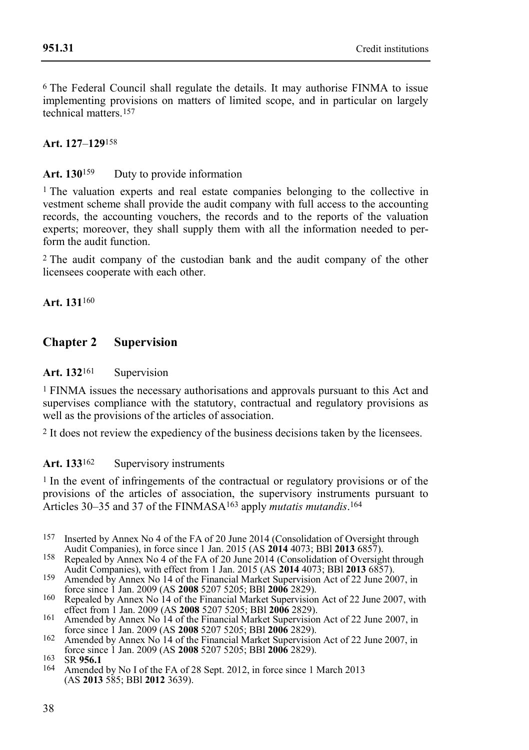6 The Federal Council shall regulate the details. It may authorise FINMA to issue implementing provisions on matters of limited scope, and in particular on largely technical matters.<sup>157</sup>

#### **Art. 127**–**129**158

#### Art. 130<sup>159</sup> Duty to provide information

1 The valuation experts and real estate companies belonging to the collective in vestment scheme shall provide the audit company with full access to the accounting records, the accounting vouchers, the records and to the reports of the valuation experts; moreover, they shall supply them with all the information needed to perform the audit function.

2 The audit company of the custodian bank and the audit company of the other licensees cooperate with each other.

**Art. 131**160

#### **Chapter 2 Supervision**

#### Art. 132<sup>161</sup> Supervision

1 FINMA issues the necessary authorisations and approvals pursuant to this Act and supervises compliance with the statutory, contractual and regulatory provisions as well as the provisions of the articles of association.

2 It does not review the expediency of the business decisions taken by the licensees.

#### Art. 133<sup>162</sup> Supervisory instruments

<sup>1</sup> In the event of infringements of the contractual or regulatory provisions or of the provisions of the articles of association, the supervisory instruments pursuant to Articles 30–35 and 37 of the FINMASA163 apply *mutatis mutandis*. 164

- 157 Inserted by Annex No 4 of the FA of 20 June 2014 (Consolidation of Oversight through Audit Companies), in force since 1 Jan. 2015 (AS **2014** 4073; BBl **2013** 6857).
- 158 Repealed by Annex No 4 of the FA of 20 June 2014 (Consolidation of Oversight through Audit Companies), with effect from 1 Jan. 2015 (AS **2014** 4073; BBl **2013** 6857).
- 159 Amended by Annex No 14 of the Financial Market Supervision Act of 22 June 2007, in force since 1 Jan. 2009 (AS **2008** 5207 5205; BBl **2006** 2829).
- 160 Repealed by Annex No 14 of the Financial Market Supervision Act of 22 June 2007, with effect from 1 Jan. 2009 (AS **2008** 5207 5205; BBl **2006** 2829).
- 161 Amended by Annex No 14 of the Financial Market Supervision Act of 22 June 2007, in force since 1 Jan. 2009 (AS **2008** 5207 5205; BBl **2006** 2829).
- 162 Amended by Annex No 14 of the Financial Market Supervision Act of 22 June 2007, in force since 1 Jan. 2009 (AS **2008** 5207 5205; BBl **2006** 2829).

Amended by No I of the FA of 28 Sept. 2012, in force since 1 March 2013 (AS **2013** 585; BBl **2012** 3639).

<sup>163</sup> SR **956.1**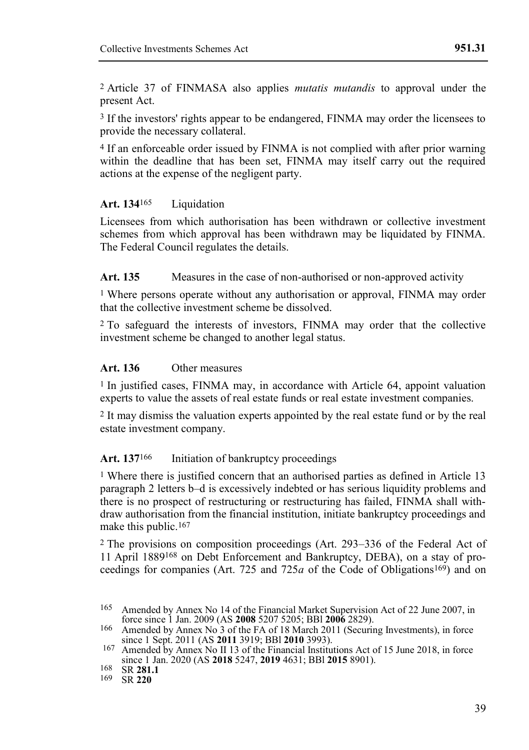2 Article 37 of FINMASA also applies *mutatis mutandis* to approval under the present Act.

3 If the investors' rights appear to be endangered, FINMA may order the licensees to provide the necessary collateral.

4 If an enforceable order issued by FINMA is not complied with after prior warning within the deadline that has been set. FINMA may itself carry out the required actions at the expense of the negligent party.

#### Art. 134<sup>165</sup> Liquidation

Licensees from which authorisation has been withdrawn or collective investment schemes from which approval has been withdrawn may be liquidated by FINMA. The Federal Council regulates the details.

#### **Art. 135** Measures in the case of non-authorised or non-approved activity

1 Where persons operate without any authorisation or approval, FINMA may order that the collective investment scheme be dissolved.

2 To safeguard the interests of investors, FINMA may order that the collective investment scheme be changed to another legal status.

#### **Art. 136** Other measures

1 In justified cases, FINMA may, in accordance with Article 64, appoint valuation experts to value the assets of real estate funds or real estate investment companies.

2 It may dismiss the valuation experts appointed by the real estate fund or by the real estate investment company.

#### Art. 137<sup>166</sup> Initiation of bankruptcy proceedings

1 Where there is justified concern that an authorised parties as defined in Article 13 paragraph 2 letters b–d is excessively indebted or has serious liquidity problems and there is no prospect of restructuring or restructuring has failed, FINMA shall withdraw authorisation from the financial institution, initiate bankruptcy proceedings and make this public.<sup>167</sup>

2 The provisions on composition proceedings (Art. 293–336 of the Federal Act of 11 April 1889168 on Debt Enforcement and Bankruptcy, DEBA), on a stay of proceedings for companies (Art. 725 and 725*a* of the Code of Obligations169) and on

<sup>165</sup> Amended by Annex No 14 of the Financial Market Supervision Act of 22 June 2007, in force since 1 Jan. 2009 (AS **2008** 5207 5205; BBl **2006** 2829). 166 Amended by Annex No 3 of the FA of 18 March 2011 (Securing Investments), in force

since 1 Sept. 2011 (AS **2011** 3919; BBl **2010** 3993).

<sup>167</sup> Amended by Annex No II 13 of the Financial Institutions Act of 15 June 2018, in force since 1 Jan. 2020 (AS **2018** 5247, **2019** 4631; BBl **2015** 8901).

<sup>168</sup> SR **281.1**

<sup>169</sup> SR **220**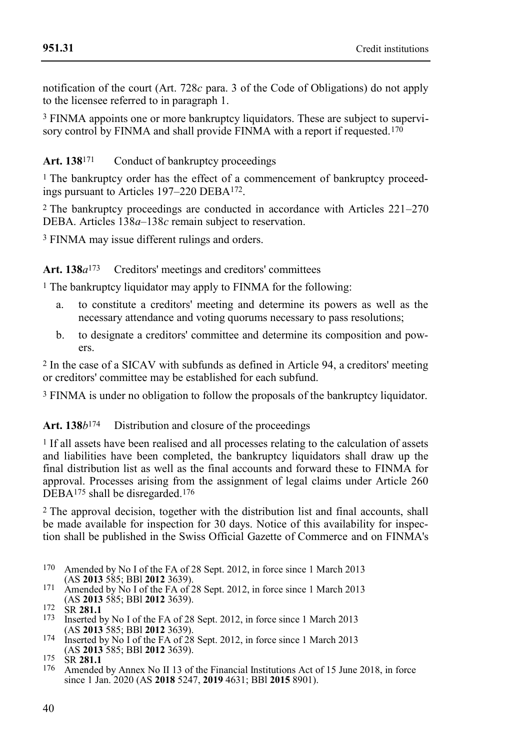notification of the court (Art. 728*c* para. 3 of the Code of Obligations) do not apply to the licensee referred to in paragraph 1.

3 FINMA appoints one or more bankruptcy liquidators. These are subject to supervisory control by FINMA and shall provide FINMA with a report if requested.<sup>170</sup>

Art. 138<sup>171</sup> Conduct of bankruptcy proceedings

1 The bankruptcy order has the effect of a commencement of bankruptcy proceedings pursuant to Articles 197–220 DEBA172.

2 The bankruptcy proceedings are conducted in accordance with Articles 221–270 DEBA. Articles 138*a*–138*c* remain subject to reservation.

3 FINMA may issue different rulings and orders.

Art. 138*a*<sup>173</sup> Creditors' meetings and creditors' committees

1 The bankruptcy liquidator may apply to FINMA for the following:

- a. to constitute a creditors' meeting and determine its powers as well as the necessary attendance and voting quorums necessary to pass resolutions;
- b. to designate a creditors' committee and determine its composition and powers.

2 In the case of a SICAV with subfunds as defined in Article 94, a creditors' meeting or creditors' committee may be established for each subfund.

3 FINMA is under no obligation to follow the proposals of the bankruptcy liquidator.

Art. 138*b*<sup>174</sup> Distribution and closure of the proceedings

1 If all assets have been realised and all processes relating to the calculation of assets and liabilities have been completed, the bankruptcy liquidators shall draw up the final distribution list as well as the final accounts and forward these to FINMA for approval. Processes arising from the assignment of legal claims under Article 260 DEBA<sup>175</sup> shall be disregarded.<sup>176</sup>

2 The approval decision, together with the distribution list and final accounts, shall be made available for inspection for 30 days. Notice of this availability for inspection shall be published in the Swiss Official Gazette of Commerce and on FINMA's

- 170 Amended by No I of the FA of 28 Sept. 2012, in force since 1 March 2013 (AS **2013** 585; BBl **2012** 3639).
- 171 Amended by No I of the FA of 28 Sept. 2012, in force since 1 March 2013 (AS **2013** 585; BBl **2012** 3639).

<sup>172</sup> SR **281.1**

Inserted by No I of the FA of 28 Sept. 2012, in force since 1 March 2013 (AS **2013** 585; BBl **2012** 3639).

<sup>174</sup> Inserted by No I of the FA of 28 Sept. 2012, in force since 1 March 2013 (AS **2013** 585; BBl **2012** 3639).

<sup>175</sup> SR **281.1**

Amended by Annex No II 13 of the Financial Institutions Act of 15 June 2018, in force since 1 Jan. 2020 (AS **2018** 5247, **2019** 4631; BBl **2015** 8901).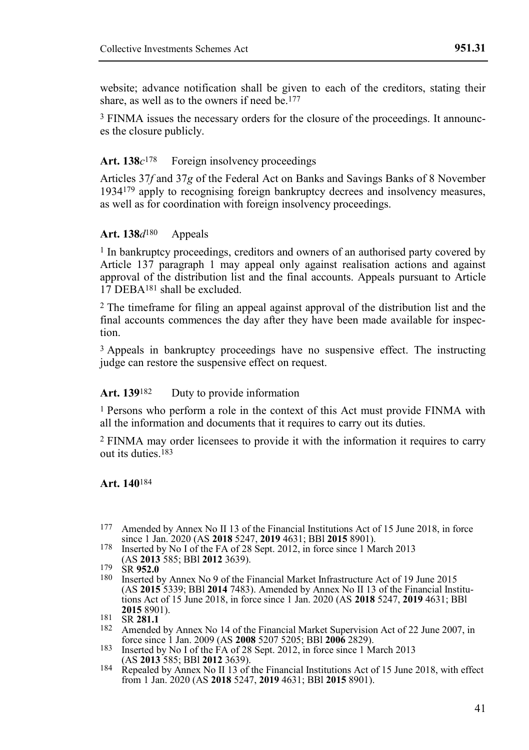website; advance notification shall be given to each of the creditors, stating their share, as well as to the owners if need be.<sup>177</sup>

3 FINMA issues the necessary orders for the closure of the proceedings. It announces the closure publicly.

#### Art. 138 $c^{178}$  Foreign insolvency proceedings

Articles 37*f* and 37*g* of the Federal Act on Banks and Savings Banks of 8 November 1934179 apply to recognising foreign bankruptcy decrees and insolvency measures, as well as for coordination with foreign insolvency proceedings.

#### **Art. 138***d*180 Appeals

1 In bankruptcy proceedings, creditors and owners of an authorised party covered by Article 137 paragraph 1 may appeal only against realisation actions and against approval of the distribution list and the final accounts. Appeals pursuant to Article 17 DEBA181 shall be excluded.

2 The timeframe for filing an appeal against approval of the distribution list and the final accounts commences the day after they have been made available for inspection.

3 Appeals in bankruptcy proceedings have no suspensive effect. The instructing judge can restore the suspensive effect on request.

#### Art. 139<sup>182</sup> Duty to provide information

1 Persons who perform a role in the context of this Act must provide FINMA with all the information and documents that it requires to carry out its duties.

2 FINMA may order licensees to provide it with the information it requires to carry out its duties.183

#### **Art. 140**184

- 177 Amended by Annex No II 13 of the Financial Institutions Act of 15 June 2018, in force since 1 Jan. 2020 (AS **2018** 5247, **2019** 4631; BBl **2015** 8901).
- <sup>178</sup> Inserted by No I of the FA of 28 Sept. 2012, in force since 1 March 2013 (AS **2013** 585; BBl **2012** 3639).
- 179 SR **952.0**
- 180 Inserted by Annex No 9 of the Financial Market Infrastructure Act of 19 June 2015 (AS **2015** 5339; BBl **2014** 7483). Amended by Annex No II 13 of the Financial Institutions Act of 15 June 2018, in force since 1 Jan. 2020 (AS **2018** 5247, **2019** 4631; BBl **2015** 8901).

- <sup>182</sup> Amended by Annex No 14 of the Financial Market Supervision Act of 22 June 2007, in force since 1 Jan. 2009 (AS **2008** 5207 5205; BBl **2006** 2829).
- 183 Inserted by No I of the FA of 28 Sept. 2012, in force since 1 March 2013 (AS **2013** 585; BBl **2012** 3639).
- 184 Repealed by Annex No II 13 of the Financial Institutions Act of 15 June 2018, with effect from 1 Jan. 2020 (AS **2018** 5247, **2019** 4631; BBl **2015** 8901).

<sup>181</sup> SR **281.1**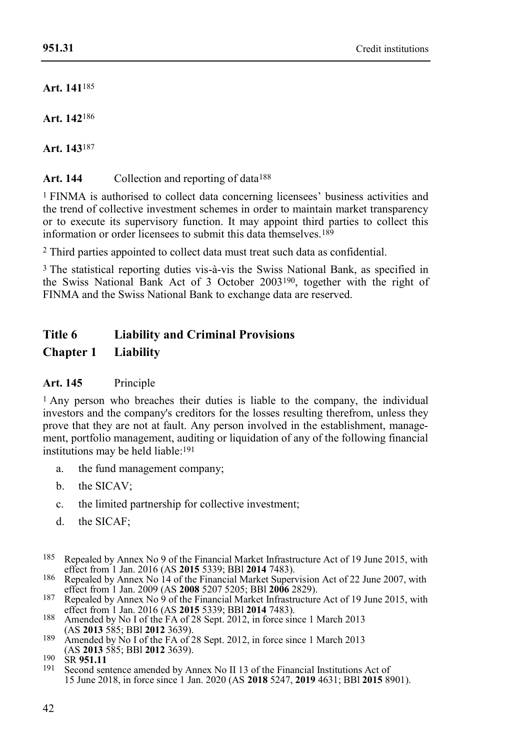**Art. 141**185

**Art. 142**186

**Art. 143**187

Art. 144 Collection and reporting of data<sup>188</sup>

1 FINMA is authorised to collect data concerning licensees' business activities and the trend of collective investment schemes in order to maintain market transparency or to execute its supervisory function. It may appoint third parties to collect this information or order licensees to submit this data themselves.189

2 Third parties appointed to collect data must treat such data as confidential.

3 The statistical reporting duties vis-à-vis the Swiss National Bank, as specified in the Swiss National Bank Act of 3 October 2003190, together with the right of FINMA and the Swiss National Bank to exchange data are reserved.

# **Title 6 Liability and Criminal Provisions**

# **Chapter 1 Liability**

# **Art. 145** Principle

1 Any person who breaches their duties is liable to the company, the individual investors and the company's creditors for the losses resulting therefrom, unless they prove that they are not at fault. Any person involved in the establishment, management, portfolio management, auditing or liquidation of any of the following financial institutions may be held liable: 191

- a. the fund management company;
- b. the SICAV;
- c. the limited partnership for collective investment;
- d. the SICAF;
- 185 Repealed by Annex No 9 of the Financial Market Infrastructure Act of 19 June 2015, with effect from 1 Jan. 2016 (AS **2015** 5339; BBl **2014** 7483).
- 186 Repealed by Annex No 14 of the Financial Market Supervision Act of 22 June 2007, with effect from 1 Jan. 2009 (AS **2008** 5207 5205; BBl **2006** 2829).
- <sup>187</sup> Repealed by Annex No 9 of the Financial Market Infrastructure Act of 19 June 2015, with effect from 1 Jan. 2016 (AS **2015** 5339; BBl **2014** 7483).
- 188 Amended by No I of the FA of 28 Sept. 2012, in force since 1 March 2013 (AS **2013** 585; BBl **2012** 3639).
- 189 Amended by No I of the FA of 28 Sept. 2012, in force since 1 March 2013 (AS **2013** 585; BBl **2012** 3639).

Second sentence amended by Annex No II 13 of the Financial Institutions Act of 15 June 2018, in force since 1 Jan. 2020 (AS **2018** 5247, **2019** 4631; BBl **2015** 8901).

<sup>190</sup> SR **951.11**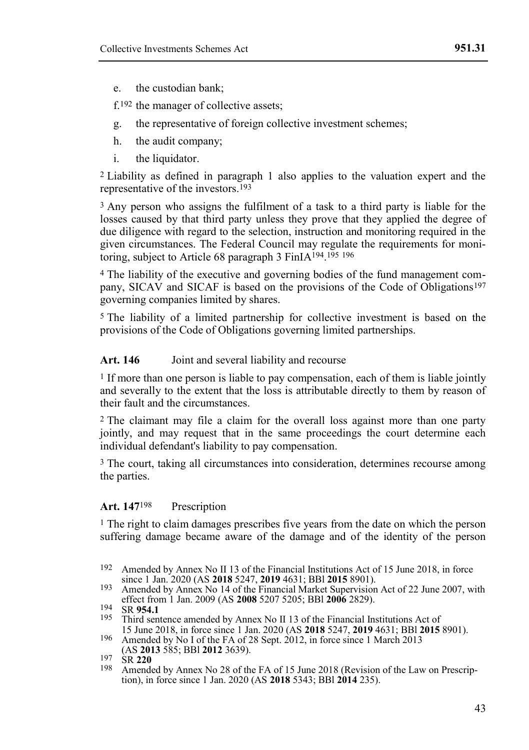e. the custodian bank;

f.192 the manager of collective assets;

- g. the representative of foreign collective investment schemes;
- h. the audit company;
- i. the liquidator.

2 Liability as defined in paragraph 1 also applies to the valuation expert and the representative of the investors.193

3 Any person who assigns the fulfilment of a task to a third party is liable for the losses caused by that third party unless they prove that they applied the degree of due diligence with regard to the selection, instruction and monitoring required in the given circumstances. The Federal Council may regulate the requirements for monitoring, subject to Article 68 paragraph 3 FinIA194. 195 196

4 The liability of the executive and governing bodies of the fund management company, SICAV and SICAF is based on the provisions of the Code of Obligations197 governing companies limited by shares.

5 The liability of a limited partnership for collective investment is based on the provisions of the Code of Obligations governing limited partnerships.

#### Art. 146 **Joint and several liability and recourse**

1 If more than one person is liable to pay compensation, each of them is liable jointly and severally to the extent that the loss is attributable directly to them by reason of their fault and the circumstances.

2 The claimant may file a claim for the overall loss against more than one party jointly, and may request that in the same proceedings the court determine each individual defendant's liability to pay compensation.

3 The court, taking all circumstances into consideration, determines recourse among the parties.

#### **Art. 147**198 Prescription

1 The right to claim damages prescribes five years from the date on which the person suffering damage became aware of the damage and of the identity of the person

Amended by Annex No 28 of the FA of 15 June 2018 (Revision of the Law on Prescription), in force since 1 Jan. 2020 (AS **2018** 5343; BBl **2014** 235).

<sup>192</sup> Amended by Annex No II 13 of the Financial Institutions Act of 15 June 2018, in force since 1 Jan. 2020 (AS **2018** 5247, **2019** 4631; BBl **2015** 8901).

<sup>193</sup> Amended by Annex No 14 of the Financial Market Supervision Act of 22 June 2007, with effect from 1 Jan. 2009 (AS **2008** 5207 5205; BBl **2006** 2829).

<sup>194</sup> SR **954.1**

<sup>195</sup> Third sentence amended by Annex No II 13 of the Financial Institutions Act of 15 June 2018, in force since 1 Jan. 2020 (AS **2018** 5247, **2019** 4631; BBl **2015** 8901).

<sup>196</sup> Amended by No I of the FA of 28 Sept. 2012, in force since 1 March 2013 (AS **2013** 585; BBl **2012** 3639).

<sup>197</sup> SR **220**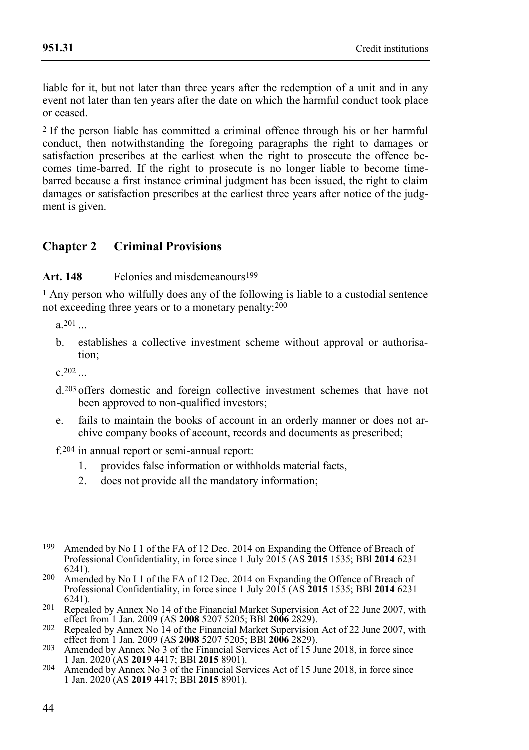liable for it, but not later than three years after the redemption of a unit and in any event not later than ten years after the date on which the harmful conduct took place or ceased.

2 If the person liable has committed a criminal offence through his or her harmful conduct, then notwithstanding the foregoing paragraphs the right to damages or satisfaction prescribes at the earliest when the right to prosecute the offence becomes time-barred. If the right to prosecute is no longer liable to become timebarred because a first instance criminal judgment has been issued, the right to claim damages or satisfaction prescribes at the earliest three years after notice of the judgment is given.

# **Chapter 2 Criminal Provisions**

#### Art. 148 Felonies and misdemeanours<sup>199</sup>

1 Any person who wilfully does any of the following is liable to a custodial sentence not exceeding three years or to a monetary penalty:  $200$ 

 $a.201$  ...

b. establishes a collective investment scheme without approval or authorisation;

 $c.202$ 

- d.203 offers domestic and foreign collective investment schemes that have not been approved to non-qualified investors;
- e. fails to maintain the books of account in an orderly manner or does not archive company books of account, records and documents as prescribed;

f.204 in annual report or semi-annual report:

- 1. provides false information or withholds material facts,
- 2. does not provide all the mandatory information;
- 199 Amended by No I 1 of the FA of 12 Dec. 2014 on Expanding the Offence of Breach of Professional Confidentiality, in force since 1 July 2015 (AS **2015** 1535; BBl **2014** 6231 6241).
- 200 Amended by No I 1 of the FA of 12 Dec. 2014 on Expanding the Offence of Breach of Professional Confidentiality, in force since 1 July 2015 (AS **2015** 1535; BBl **2014** 6231 6241).
- <sup>201</sup> Repealed by Annex No 14 of the Financial Market Supervision Act of 22 June 2007, with effect from 1 Jan. 2009 (AS **2008** 5207 5205; BBl **2006** 2829).
- 202 Repealed by Annex No 14 of the Financial Market Supervision Act of 22 June 2007, with effect from 1 Jan. 2009 (AS **2008** 5207 5205; BBl **2006** 2829).
- 203 Amended by Annex No 3 of the Financial Services Act of 15 June 2018, in force since 1 Jan. 2020 (AS **2019** 4417; BBl **2015** 8901).
- 204 Amended by Annex No 3 of the Financial Services Act of 15 June 2018, in force since 1 Jan. 2020 (AS **2019** 4417; BBl **2015** 8901).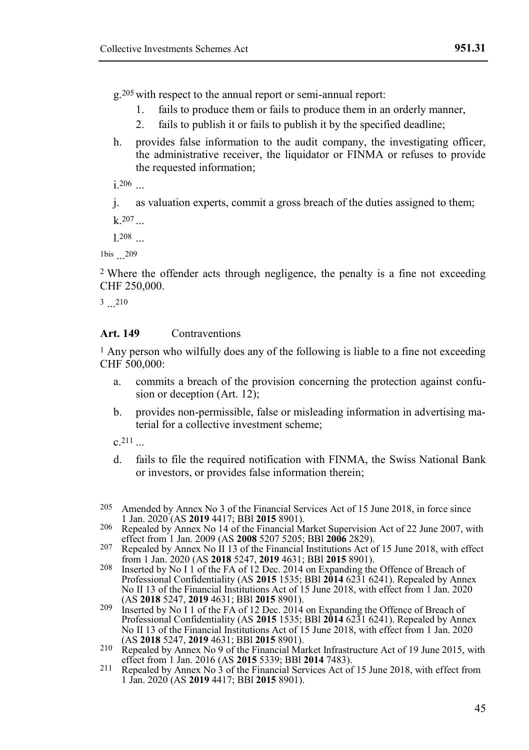g.205 with respect to the annual report or semi-annual report:

- 1. fails to produce them or fails to produce them in an orderly manner,
- 2. fails to publish it or fails to publish it by the specified deadline;
- h. provides false information to the audit company, the investigating officer, the administrative receiver, the liquidator or FINMA or refuses to provide the requested information;

 $i.206$ 

j. as valuation experts, commit a gross breach of the duties assigned to them;

 $k.207$ 

l.208 ...

1bis ... 209

2 Where the offender acts through negligence, the penalty is a fine not exceeding CHF 250,000.

 $3 \dots 210$ 

#### Art. 149 Contraventions

1 Any person who wilfully does any of the following is liable to a fine not exceeding CHF 500,000:

- a. commits a breach of the provision concerning the protection against confusion or deception (Art. 12);
- b. provides non-permissible, false or misleading information in advertising material for a collective investment scheme;

 $c.211$ 

- d. fails to file the required notification with FINMA, the Swiss National Bank or investors, or provides false information therein;
- 205 Amended by Annex No 3 of the Financial Services Act of 15 June 2018, in force since 1 Jan. 2020 (AS **2019** 4417; BBl **2015** 8901).
- 206 Repealed by Annex No 14 of the Financial Market Supervision Act of 22 June 2007, with effect from 1 Jan. 2009 (AS **2008** 5207 5205; BBl **2006** 2829).
- 207 Repealed by Annex No II 13 of the Financial Institutions Act of 15 June 2018, with effect
- from 1 Jan. 2020 (AS **2018** 5247, **2019** 4631; BBl **2015** 8901). 208 Inserted by No I 1 of the FA of 12 Dec. 2014 on Expanding the Offence of Breach of Professional Confidentiality (AS **2015** 1535; BBl **2014** 6231 6241). Repealed by Annex No II 13 of the Financial Institutions Act of 15 June 2018, with effect from 1 Jan. 2020 (AS **2018** 5247, **2019** 4631; BBl **2015** 8901).
- 209 Inserted by No I 1 of the FA of 12 Dec. 2014 on Expanding the Offence of Breach of Professional Confidentiality (AS **2015** 1535; BBl **2014** 6231 6241). Repealed by Annex No II 13 of the Financial Institutions Act of 15 June 2018, with effect from 1 Jan. 2020 (AS **2018** 5247, **2019** 4631; BBl **2015** 8901).
- 210 Repealed by Annex No 9 of the Financial Market Infrastructure Act of 19 June 2015, with effect from 1 Jan. 2016 (AS **2015** 5339; BBl **2014** 7483).
- 211 Repealed by Annex No 3 of the Financial Services Act of 15 June 2018, with effect from 1 Jan. 2020 (AS **2019** 4417; BBl **2015** 8901).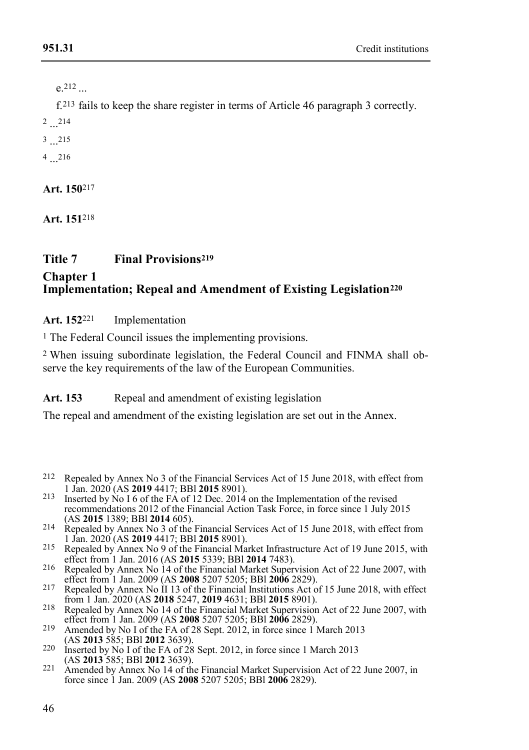e.212 ...

f.213 fails to keep the share register in terms of Article 46 paragraph 3 correctly.

 $2...^{214}$ 

3 ... 215

 $^{4}$  ...<sup>216</sup>

**Art. 150**217

**Art. 151**218

# **Title 7 Final Provisions<sup>219</sup>**

#### **Chapter 1 Implementation; Repeal and Amendment of Existing Legislation<sup>220</sup>**

**Art. 152**221 Implementation

1 The Federal Council issues the implementing provisions.

2 When issuing subordinate legislation, the Federal Council and FINMA shall observe the key requirements of the law of the European Communities.

# Art. 153 Repeal and amendment of existing legislation

The repeal and amendment of the existing legislation are set out in the Annex.

- 212 Repealed by Annex No 3 of the Financial Services Act of 15 June 2018, with effect from 1 Jan. 2020 (AS **2019** 4417; BBl **2015** 8901).
- <sup>213</sup> Inserted by No I 6 of the FA of 12 Dec. 2014 on the Implementation of the revised recommendations 2012 of the Financial Action Task Force, in force since 1 July 2015 (AS **2015** 1389; BBl **2014** 605).
- 214 Repealed by Annex No 3 of the Financial Services Act of 15 June 2018, with effect from 1 Jan. 2020 (AS **2019** 4417; BBl **2015** 8901).
- 215 Repealed by Annex No 9 of the Financial Market Infrastructure Act of 19 June 2015, with effect from 1 Jan. 2016 (AS **2015** 5339; BBl **2014** 7483).
- 216 Repealed by Annex No 14 of the Financial Market Supervision Act of 22 June 2007, with effect from 1 Jan. 2009 (AS **2008** 5207 5205; BBl **2006** 2829).
- 217 Repealed by Annex No II 13 of the Financial Institutions Act of 15 June 2018, with effect from 1 Jan. 2020 (AS **2018** 5247, **2019** 4631; BBl **2015** 8901).
- 218 Repealed by Annex No 14 of the Financial Market Supervision Act of 22 June 2007, with effect from 1 Jan. 2009 (AS **2008** 5207 5205; BBl **2006** 2829). 219 Amended by No I of the FA of 28 Sept. 2012, in force since 1 March 2013
- (AS **2013** 585; BBl **2012** 3639).
- 220 Inserted by No I of the FA of 28 Sept. 2012, in force since 1 March 2013 (AS **2013** 585; BBl **2012** 3639).
- 221 Amended by Annex No 14 of the Financial Market Supervision Act of 22 June 2007, in force since 1 Jan. 2009 (AS **2008** 5207 5205; BBl **2006** 2829).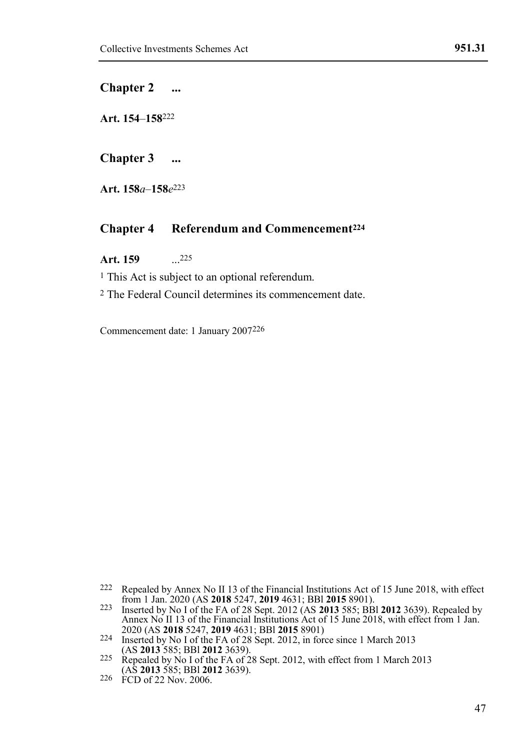#### **Chapter 2 ...**

**Art. 154***–***158**222

**Chapter 3 ...**

**Art. 158***a*–**158***e* 223

#### **Chapter 4 Referendum and Commencement<sup>224</sup>**

**Art. 159** ... 225

<sup>1</sup> This Act is subject to an optional referendum.

2 The Federal Council determines its commencement date.

Commencement date: 1 January 2007226

<sup>222</sup> Repealed by Annex No II 13 of the Financial Institutions Act of 15 June 2018, with effect

from 1 Jan. 2020 (AS 2018 5247, 2019 4631; BBI 2015 8901).<br>
Inserted by No I of the FA of 28 Sept. 2012 (AS 2013 585; BBI 2012 3639). Repealed by<br>
Annex No II 13 of the Financial Institutions Act of 15 June 2018, with effe 2020 (AS **2018** 5247, **2019** 4631; BBl **2015** 8901) 224 Inserted by No I of the FA of 28 Sept. 2012, in force since 1 March 2013

<sup>(</sup>AS **2013** 585; BBl **2012** 3639).

<sup>225</sup> Repealed by No I of the FA of 28 Sept. 2012, with effect from 1 March 2013 (AS **2013** 585; BBl **2012** 3639).

<sup>226</sup> FCD of 22 Nov. 2006.